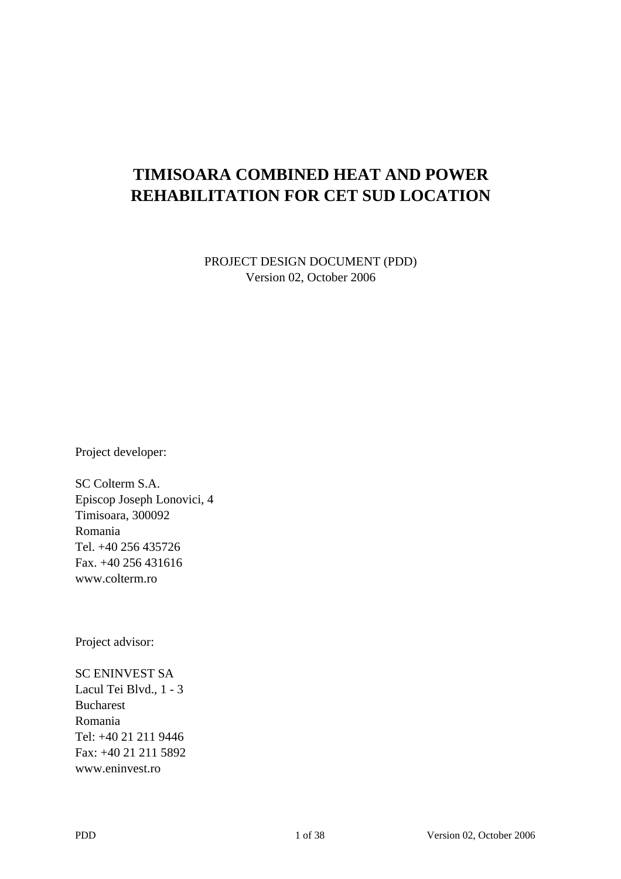## **TIMISOARA COMBINED HEAT AND POWER REHABILITATION FOR CET SUD LOCATION**

PROJECT DESIGN DOCUMENT (PDD) Version 02, October 2006

Project developer:

SC Colterm S.A. Episcop Joseph Lonovici, 4 Timisoara, 300092 Romania Tel. +40 256 435726 Fax. +40 256 431616 www.colterm.ro

Project advisor:

SC ENINVEST SA Lacul Tei Blvd., 1 - 3 Bucharest Romania Tel: +40 21 211 9446 Fax: +40 21 211 5892 www.eninvest.ro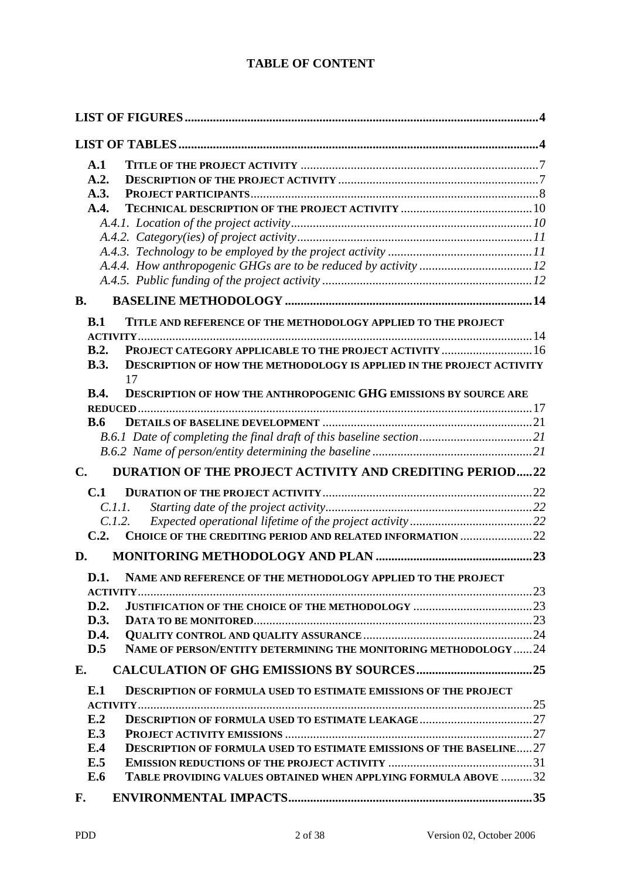## **TABLE OF CONTENT**

| A.1                                                                                                                                                    |  |
|--------------------------------------------------------------------------------------------------------------------------------------------------------|--|
| A.2.                                                                                                                                                   |  |
| A.3.                                                                                                                                                   |  |
| A.4.                                                                                                                                                   |  |
|                                                                                                                                                        |  |
|                                                                                                                                                        |  |
|                                                                                                                                                        |  |
|                                                                                                                                                        |  |
|                                                                                                                                                        |  |
| <b>B.</b>                                                                                                                                              |  |
| B.1<br>TITLE AND REFERENCE OF THE METHODOLOGY APPLIED TO THE PROJECT                                                                                   |  |
| B.2.                                                                                                                                                   |  |
| PROJECT CATEGORY APPLICABLE TO THE PROJECT ACTIVITY  16<br><b>B.3.</b><br><b>DESCRIPTION OF HOW THE METHODOLOGY IS APPLIED IN THE PROJECT ACTIVITY</b> |  |
| 17                                                                                                                                                     |  |
| <b>DESCRIPTION OF HOW THE ANTHROPOGENIC GHG EMISSIONS BY SOURCE ARE</b><br><b>B.4.</b>                                                                 |  |
|                                                                                                                                                        |  |
| <b>B.6</b>                                                                                                                                             |  |
|                                                                                                                                                        |  |
|                                                                                                                                                        |  |
| <b>DURATION OF THE PROJECT ACTIVITY AND CREDITING PERIOD22</b><br>$\mathbf{C}$ .                                                                       |  |
| C.1                                                                                                                                                    |  |
| C.I.I.                                                                                                                                                 |  |
| C.1.2.                                                                                                                                                 |  |
| C.2.<br>CHOICE OF THE CREDITING PERIOD AND RELATED INFORMATION 22                                                                                      |  |
| D.                                                                                                                                                     |  |
| D.1. NAME AND REFERENCE OF THE METHODOLOGY APPLIED TO THE PROJECT                                                                                      |  |
|                                                                                                                                                        |  |
| D.2.                                                                                                                                                   |  |
| D.3.<br>D.4.                                                                                                                                           |  |
| NAME OF PERSON/ENTITY DETERMINING THE MONITORING METHODOLOGY 24<br>D.5                                                                                 |  |
|                                                                                                                                                        |  |
| Е.                                                                                                                                                     |  |
| E.1<br><b>DESCRIPTION OF FORMULA USED TO ESTIMATE EMISSIONS OF THE PROJECT</b>                                                                         |  |
|                                                                                                                                                        |  |
| E.2                                                                                                                                                    |  |
| E.3                                                                                                                                                    |  |
| E.4<br><b>DESCRIPTION OF FORMULA USED TO ESTIMATE EMISSIONS OF THE BASELINE27</b>                                                                      |  |
| E.5                                                                                                                                                    |  |
| E.6<br>TABLE PROVIDING VALUES OBTAINED WHEN APPLYING FORMULA ABOVE 32                                                                                  |  |
| F.                                                                                                                                                     |  |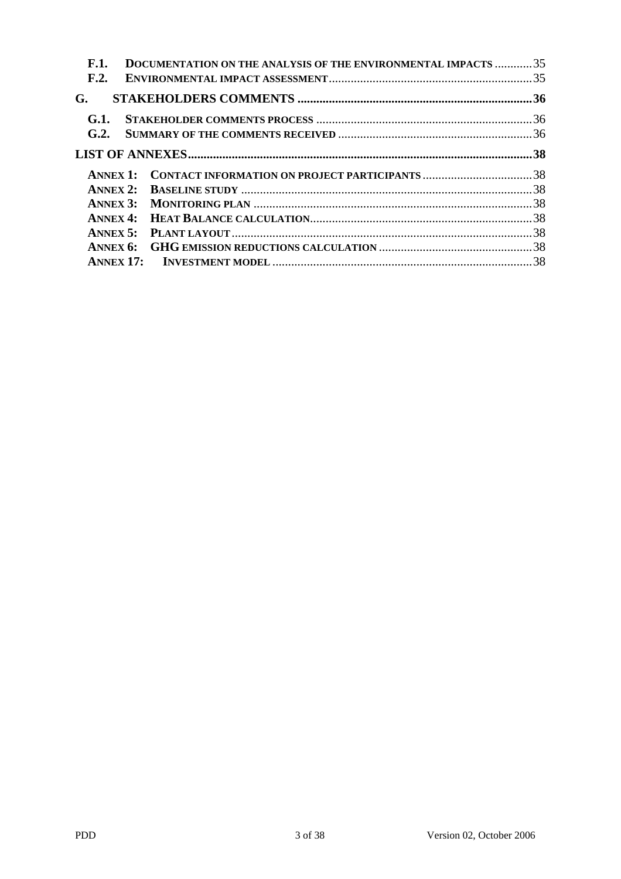| <b>F.1.</b>     | DOCUMENTATION ON THE ANALYSIS OF THE ENVIRONMENTAL IMPACTS 35 |  |
|-----------------|---------------------------------------------------------------|--|
| F.2.            |                                                               |  |
| G.              |                                                               |  |
| G.1.            |                                                               |  |
| G.2.            |                                                               |  |
|                 |                                                               |  |
| <b>ANNEX 1:</b> | <b>CONTACT INFORMATION ON PROJECT PARTICIPANTS 38</b>         |  |
| ANNEX $2:$      |                                                               |  |
|                 |                                                               |  |
|                 |                                                               |  |
| ANNEX $5:$      |                                                               |  |
|                 |                                                               |  |
|                 |                                                               |  |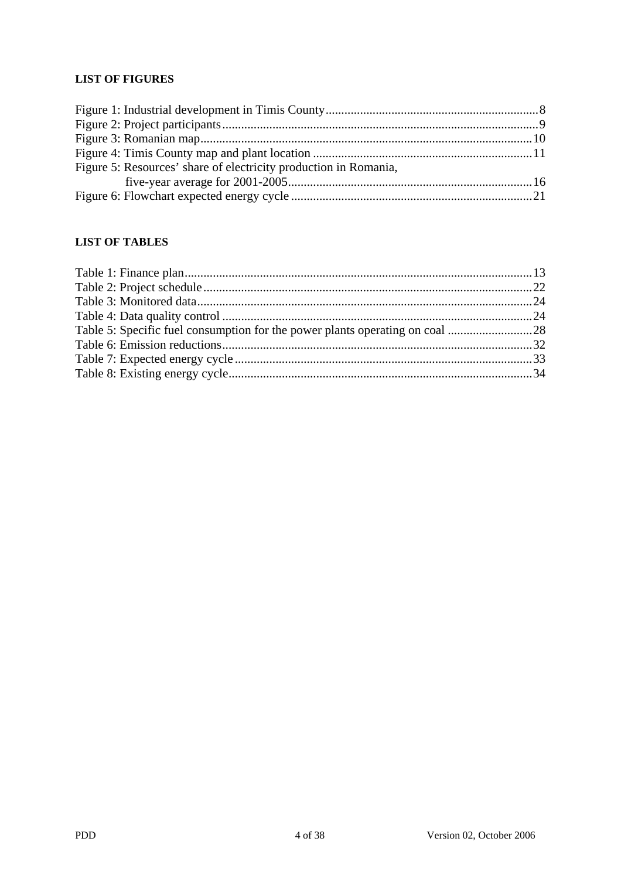## **LIST OF FIGURES**

| Figure 5: Resources' share of electricity production in Romania, |  |
|------------------------------------------------------------------|--|
|                                                                  |  |
|                                                                  |  |

### **LIST OF TABLES**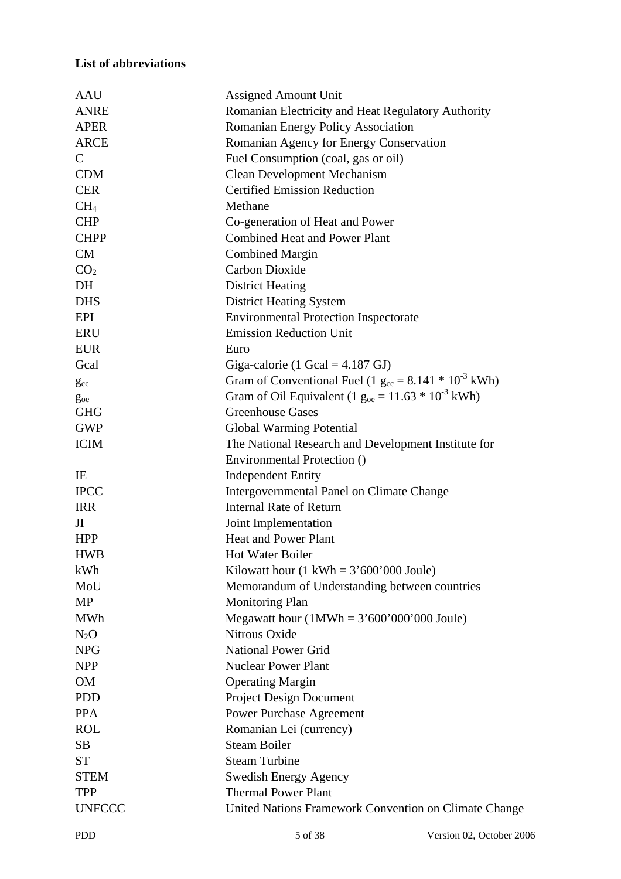## **List of abbreviations**

| <b>AAU</b>             | <b>Assigned Amount Unit</b>                                  |
|------------------------|--------------------------------------------------------------|
| <b>ANRE</b>            | Romanian Electricity and Heat Regulatory Authority           |
| <b>APER</b>            | Romanian Energy Policy Association                           |
| <b>ARCE</b>            | Romanian Agency for Energy Conservation                      |
| $\mathsf{C}$           | Fuel Consumption (coal, gas or oil)                          |
| <b>CDM</b>             | <b>Clean Development Mechanism</b>                           |
| <b>CER</b>             | <b>Certified Emission Reduction</b>                          |
| CH <sub>4</sub>        | Methane                                                      |
| <b>CHP</b>             | Co-generation of Heat and Power                              |
| <b>CHPP</b>            | <b>Combined Heat and Power Plant</b>                         |
| <b>CM</b>              | <b>Combined Margin</b>                                       |
| CO <sub>2</sub>        | Carbon Dioxide                                               |
| DH                     | <b>District Heating</b>                                      |
| <b>DHS</b>             | <b>District Heating System</b>                               |
| EPI                    | <b>Environmental Protection Inspectorate</b>                 |
| <b>ERU</b>             | <b>Emission Reduction Unit</b>                               |
| <b>EUR</b>             | Euro                                                         |
| Gcal                   | Giga-calorie (1 Gcal = $4.187$ GJ)                           |
|                        | Gram of Conventional Fuel (1 $g_{cc} = 8.141 * 10^{-3}$ kWh) |
| $g_{cc}$               | Gram of Oil Equivalent (1 $g_{oe} = 11.63 * 10^{-3}$ kWh)    |
| $g_{oe}$<br><b>GHG</b> | <b>Greenhouse Gases</b>                                      |
| <b>GWP</b>             | <b>Global Warming Potential</b>                              |
| <b>ICIM</b>            | The National Research and Development Institute for          |
|                        | Environmental Protection ()                                  |
| IE                     | <b>Independent Entity</b>                                    |
| <b>IPCC</b>            | Intergovernmental Panel on Climate Change                    |
| <b>IRR</b>             | <b>Internal Rate of Return</b>                               |
| J <sub>I</sub>         | Joint Implementation                                         |
| <b>HPP</b>             | <b>Heat and Power Plant</b>                                  |
| <b>HWB</b>             | Hot Water Boiler                                             |
| kWh                    | Kilowatt hour $(1 \text{ kWh} = 3'600'000 \text{ Joule})$    |
| MoU                    | Memorandum of Understanding between countries                |
| <b>MP</b>              | <b>Monitoring Plan</b>                                       |
| <b>MWh</b>             | Megawatt hour $(1MWh = 3'600'000'000$ Joule)                 |
| $N_2O$                 | Nitrous Oxide                                                |
| <b>NPG</b>             | <b>National Power Grid</b>                                   |
| <b>NPP</b>             | <b>Nuclear Power Plant</b>                                   |
| <b>OM</b>              | <b>Operating Margin</b>                                      |
| <b>PDD</b>             | <b>Project Design Document</b>                               |
| <b>PPA</b>             | <b>Power Purchase Agreement</b>                              |
| <b>ROL</b>             | Romanian Lei (currency)                                      |
| <b>SB</b>              | <b>Steam Boiler</b>                                          |
| <b>ST</b>              | <b>Steam Turbine</b>                                         |
| <b>STEM</b>            | <b>Swedish Energy Agency</b>                                 |
|                        | <b>Thermal Power Plant</b>                                   |
| <b>TPP</b>             |                                                              |
| <b>UNFCCC</b>          | United Nations Framework Convention on Climate Change        |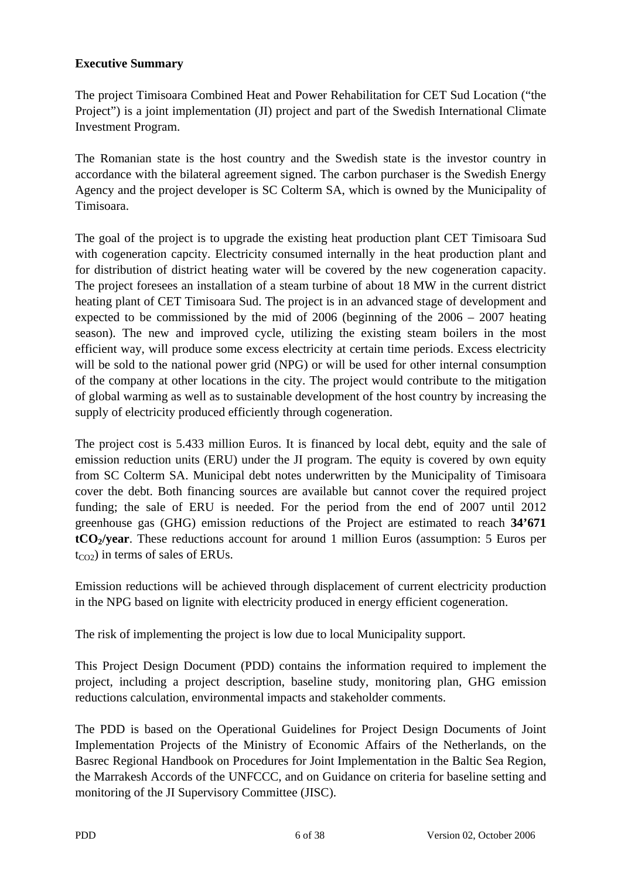## **Executive Summary**

The project Timisoara Combined Heat and Power Rehabilitation for CET Sud Location ("the Project") is a joint implementation (JI) project and part of the Swedish International Climate Investment Program.

The Romanian state is the host country and the Swedish state is the investor country in accordance with the bilateral agreement signed. The carbon purchaser is the Swedish Energy Agency and the project developer is SC Colterm SA, which is owned by the Municipality of Timisoara.

The goal of the project is to upgrade the existing heat production plant CET Timisoara Sud with cogeneration capcity. Electricity consumed internally in the heat production plant and for distribution of district heating water will be covered by the new cogeneration capacity. The project foresees an installation of a steam turbine of about 18 MW in the current district heating plant of CET Timisoara Sud. The project is in an advanced stage of development and expected to be commissioned by the mid of 2006 (beginning of the 2006 – 2007 heating season). The new and improved cycle, utilizing the existing steam boilers in the most efficient way, will produce some excess electricity at certain time periods. Excess electricity will be sold to the national power grid (NPG) or will be used for other internal consumption of the company at other locations in the city. The project would contribute to the mitigation of global warming as well as to sustainable development of the host country by increasing the supply of electricity produced efficiently through cogeneration.

The project cost is 5.433 million Euros. It is financed by local debt, equity and the sale of emission reduction units (ERU) under the JI program. The equity is covered by own equity from SC Colterm SA. Municipal debt notes underwritten by the Municipality of Timisoara cover the debt. Both financing sources are available but cannot cover the required project funding; the sale of ERU is needed. For the period from the end of 2007 until 2012 greenhouse gas (GHG) emission reductions of the Project are estimated to reach **34'671 tCO2/year**. These reductions account for around 1 million Euros (assumption: 5 Euros per  $t_{CO2}$ ) in terms of sales of ERUs.

Emission reductions will be achieved through displacement of current electricity production in the NPG based on lignite with electricity produced in energy efficient cogeneration.

The risk of implementing the project is low due to local Municipality support.

This Project Design Document (PDD) contains the information required to implement the project, including a project description, baseline study, monitoring plan, GHG emission reductions calculation, environmental impacts and stakeholder comments.

The PDD is based on the Operational Guidelines for Project Design Documents of Joint Implementation Projects of the Ministry of Economic Affairs of the Netherlands, on the Basrec Regional Handbook on Procedures for Joint Implementation in the Baltic Sea Region, the Marrakesh Accords of the UNFCCC, and on Guidance on criteria for baseline setting and monitoring of the JI Supervisory Committee (JISC).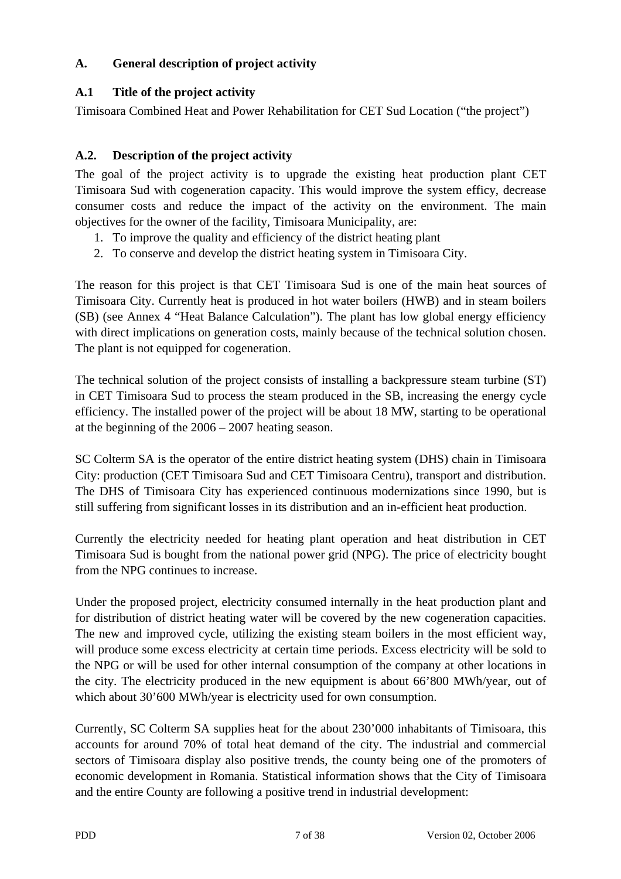## **A. General description of project activity**

## **A.1 Title of the project activity**

Timisoara Combined Heat and Power Rehabilitation for CET Sud Location ("the project")

## **A.2. Description of the project activity**

The goal of the project activity is to upgrade the existing heat production plant CET Timisoara Sud with cogeneration capacity. This would improve the system efficy, decrease consumer costs and reduce the impact of the activity on the environment. The main objectives for the owner of the facility, Timisoara Municipality, are:

- 1. To improve the quality and efficiency of the district heating plant
- 2. To conserve and develop the district heating system in Timisoara City.

The reason for this project is that CET Timisoara Sud is one of the main heat sources of Timisoara City. Currently heat is produced in hot water boilers (HWB) and in steam boilers (SB) (see Annex 4 "Heat Balance Calculation"). The plant has low global energy efficiency with direct implications on generation costs, mainly because of the technical solution chosen. The plant is not equipped for cogeneration.

The technical solution of the project consists of installing a backpressure steam turbine (ST) in CET Timisoara Sud to process the steam produced in the SB, increasing the energy cycle efficiency. The installed power of the project will be about 18 MW, starting to be operational at the beginning of the 2006 – 2007 heating season.

SC Colterm SA is the operator of the entire district heating system (DHS) chain in Timisoara City: production (CET Timisoara Sud and CET Timisoara Centru), transport and distribution. The DHS of Timisoara City has experienced continuous modernizations since 1990, but is still suffering from significant losses in its distribution and an in-efficient heat production.

Currently the electricity needed for heating plant operation and heat distribution in CET Timisoara Sud is bought from the national power grid (NPG). The price of electricity bought from the NPG continues to increase.

Under the proposed project, electricity consumed internally in the heat production plant and for distribution of district heating water will be covered by the new cogeneration capacities. The new and improved cycle, utilizing the existing steam boilers in the most efficient way, will produce some excess electricity at certain time periods. Excess electricity will be sold to the NPG or will be used for other internal consumption of the company at other locations in the city. The electricity produced in the new equipment is about 66'800 MWh/year, out of which about 30'600 MWh/year is electricity used for own consumption.

Currently, SC Colterm SA supplies heat for the about 230'000 inhabitants of Timisoara, this accounts for around 70% of total heat demand of the city. The industrial and commercial sectors of Timisoara display also positive trends, the county being one of the promoters of economic development in Romania. Statistical information shows that the City of Timisoara and the entire County are following a positive trend in industrial development: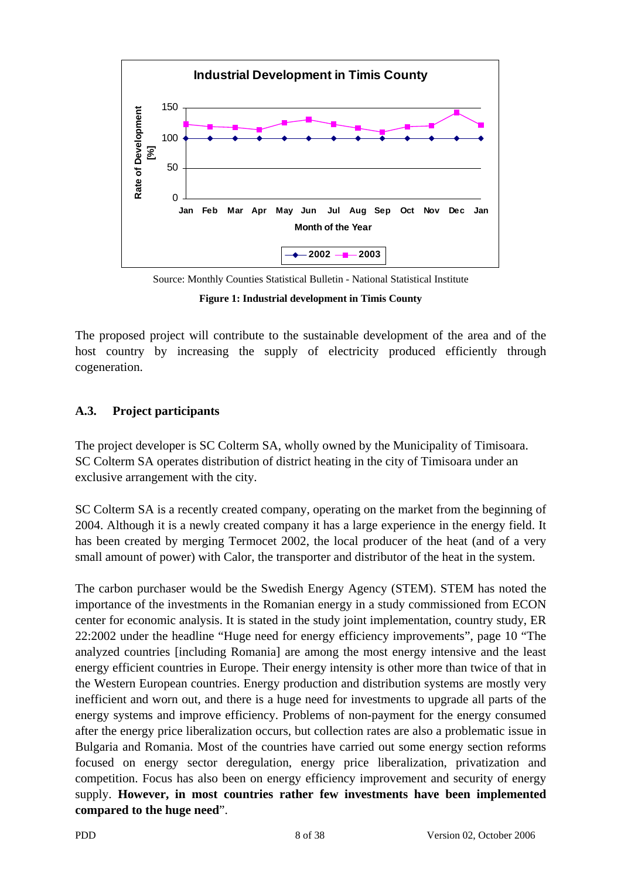

Source: Monthly Counties Statistical Bulletin - National Statistical Institute

**Figure 1: Industrial development in Timis County** 

The proposed project will contribute to the sustainable development of the area and of the host country by increasing the supply of electricity produced efficiently through cogeneration.

## **A.3. Project participants**

The project developer is SC Colterm SA, wholly owned by the Municipality of Timisoara. SC Colterm SA operates distribution of district heating in the city of Timisoara under an exclusive arrangement with the city.

SC Colterm SA is a recently created company, operating on the market from the beginning of 2004. Although it is a newly created company it has a large experience in the energy field. It has been created by merging Termocet 2002, the local producer of the heat (and of a very small amount of power) with Calor, the transporter and distributor of the heat in the system.

The carbon purchaser would be the Swedish Energy Agency (STEM). STEM has noted the importance of the investments in the Romanian energy in a study commissioned from ECON center for economic analysis. It is stated in the study joint implementation, country study, ER 22:2002 under the headline "Huge need for energy efficiency improvements", page 10 "The analyzed countries [including Romania] are among the most energy intensive and the least energy efficient countries in Europe. Their energy intensity is other more than twice of that in the Western European countries. Energy production and distribution systems are mostly very inefficient and worn out, and there is a huge need for investments to upgrade all parts of the energy systems and improve efficiency. Problems of non-payment for the energy consumed after the energy price liberalization occurs, but collection rates are also a problematic issue in Bulgaria and Romania. Most of the countries have carried out some energy section reforms focused on energy sector deregulation, energy price liberalization, privatization and competition. Focus has also been on energy efficiency improvement and security of energy supply. **However, in most countries rather few investments have been implemented compared to the huge need**".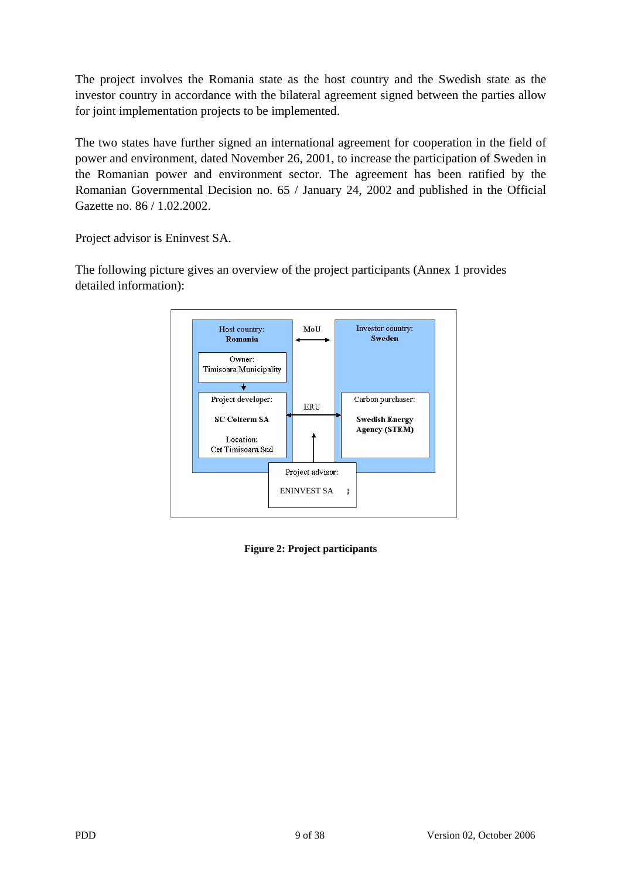The project involves the Romania state as the host country and the Swedish state as the investor country in accordance with the bilateral agreement signed between the parties allow for joint implementation projects to be implemented.

The two states have further signed an international agreement for cooperation in the field of power and environment, dated November 26, 2001, to increase the participation of Sweden in the Romanian power and environment sector. The agreement has been ratified by the Romanian Governmental Decision no. 65 / January 24, 2002 and published in the Official Gazette no. 86 / 1.02.2002.

Project advisor is Eninvest SA.

The following picture gives an overview of the project participants (Annex 1 provides detailed information):



**Figure 2: Project participants**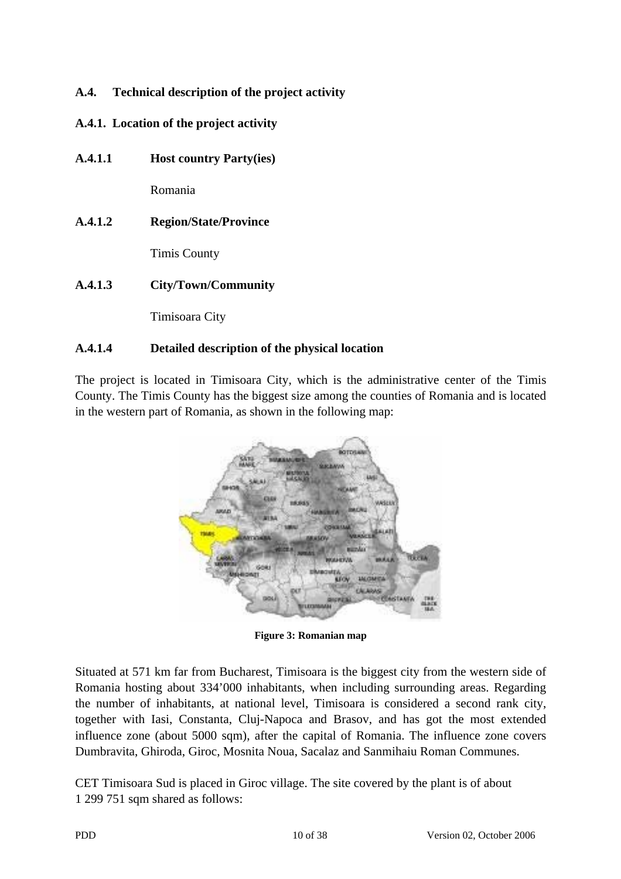## **A.4. Technical description of the project activity**

## **A.4.1. Location of the project activity**

**A.4.1.1 Host country Party(ies)** 

Romania

**A.4.1.2 Region/State/Province** 

Timis County

**A.4.1.3 City/Town/Community** 

Timisoara City

## **A.4.1.4 Detailed description of the physical location**

The project is located in Timisoara City, which is the administrative center of the Timis County. The Timis County has the biggest size among the counties of Romania and is located in the western part of Romania, as shown in the following map:



**Figure 3: Romanian map** 

Situated at 571 km far from Bucharest, Timisoara is the biggest city from the western side of Romania hosting about 334'000 inhabitants, when including surrounding areas. Regarding the number of inhabitants, at national level, Timisoara is considered a second rank city, together with Iasi, Constanta, Cluj-Napoca and Brasov, and has got the most extended influence zone (about 5000 sqm), after the capital of Romania. The influence zone covers Dumbravita, Ghiroda, Giroc, Mosnita Noua, Sacalaz and Sanmihaiu Roman Communes.

CET Timisoara Sud is placed in Giroc village. The site covered by the plant is of about 1 299 751 sqm shared as follows: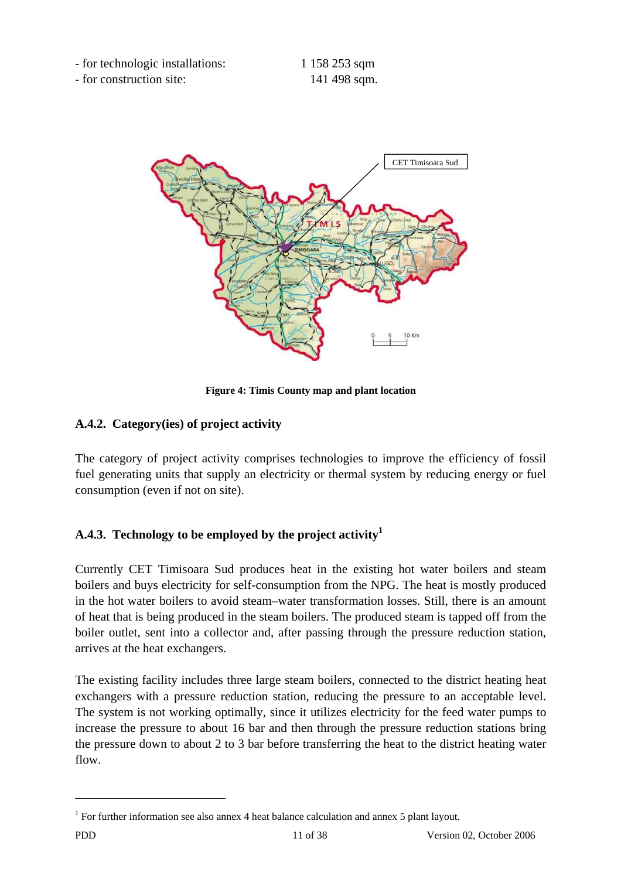- for technologic installations: 1 158 253 sqm

- for construction site: 141 498 sqm.



**Figure 4: Timis County map and plant location** 

## **A.4.2. Category(ies) of project activity**

The category of project activity comprises technologies to improve the efficiency of fossil fuel generating units that supply an electricity or thermal system by reducing energy or fuel consumption (even if not on site).

## **A.4.3. Technology to be employed by the project activity1**

Currently CET Timisoara Sud produces heat in the existing hot water boilers and steam boilers and buys electricity for self-consumption from the NPG. The heat is mostly produced in the hot water boilers to avoid steam–water transformation losses. Still, there is an amount of heat that is being produced in the steam boilers. The produced steam is tapped off from the boiler outlet, sent into a collector and, after passing through the pressure reduction station, arrives at the heat exchangers.

The existing facility includes three large steam boilers, connected to the district heating heat exchangers with a pressure reduction station, reducing the pressure to an acceptable level. The system is not working optimally, since it utilizes electricity for the feed water pumps to increase the pressure to about 16 bar and then through the pressure reduction stations bring the pressure down to about 2 to 3 bar before transferring the heat to the district heating water flow.

 $\overline{a}$ 

<sup>&</sup>lt;sup>1</sup> For further information see also annex 4 heat balance calculation and annex 5 plant layout.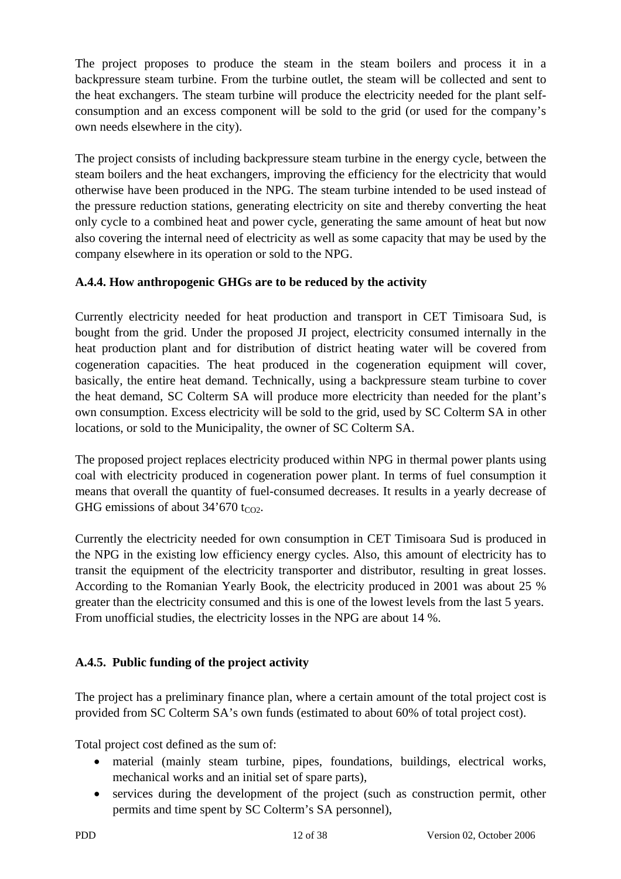The project proposes to produce the steam in the steam boilers and process it in a backpressure steam turbine. From the turbine outlet, the steam will be collected and sent to the heat exchangers. The steam turbine will produce the electricity needed for the plant selfconsumption and an excess component will be sold to the grid (or used for the company's own needs elsewhere in the city).

The project consists of including backpressure steam turbine in the energy cycle, between the steam boilers and the heat exchangers, improving the efficiency for the electricity that would otherwise have been produced in the NPG. The steam turbine intended to be used instead of the pressure reduction stations, generating electricity on site and thereby converting the heat only cycle to a combined heat and power cycle, generating the same amount of heat but now also covering the internal need of electricity as well as some capacity that may be used by the company elsewhere in its operation or sold to the NPG.

## **A.4.4. How anthropogenic GHGs are to be reduced by the activity**

Currently electricity needed for heat production and transport in CET Timisoara Sud, is bought from the grid. Under the proposed JI project, electricity consumed internally in the heat production plant and for distribution of district heating water will be covered from cogeneration capacities. The heat produced in the cogeneration equipment will cover, basically, the entire heat demand. Technically, using a backpressure steam turbine to cover the heat demand, SC Colterm SA will produce more electricity than needed for the plant's own consumption. Excess electricity will be sold to the grid, used by SC Colterm SA in other locations, or sold to the Municipality, the owner of SC Colterm SA.

The proposed project replaces electricity produced within NPG in thermal power plants using coal with electricity produced in cogeneration power plant. In terms of fuel consumption it means that overall the quantity of fuel-consumed decreases. It results in a yearly decrease of GHG emissions of about  $34'670$  t<sub>CO2</sub>.

Currently the electricity needed for own consumption in CET Timisoara Sud is produced in the NPG in the existing low efficiency energy cycles. Also, this amount of electricity has to transit the equipment of the electricity transporter and distributor, resulting in great losses. According to the Romanian Yearly Book, the electricity produced in 2001 was about 25 % greater than the electricity consumed and this is one of the lowest levels from the last 5 years. From unofficial studies, the electricity losses in the NPG are about 14 %.

## **A.4.5. Public funding of the project activity**

The project has a preliminary finance plan, where a certain amount of the total project cost is provided from SC Colterm SA's own funds (estimated to about 60% of total project cost).

Total project cost defined as the sum of:

- material (mainly steam turbine, pipes, foundations, buildings, electrical works, mechanical works and an initial set of spare parts),
- services during the development of the project (such as construction permit, other permits and time spent by SC Colterm's SA personnel),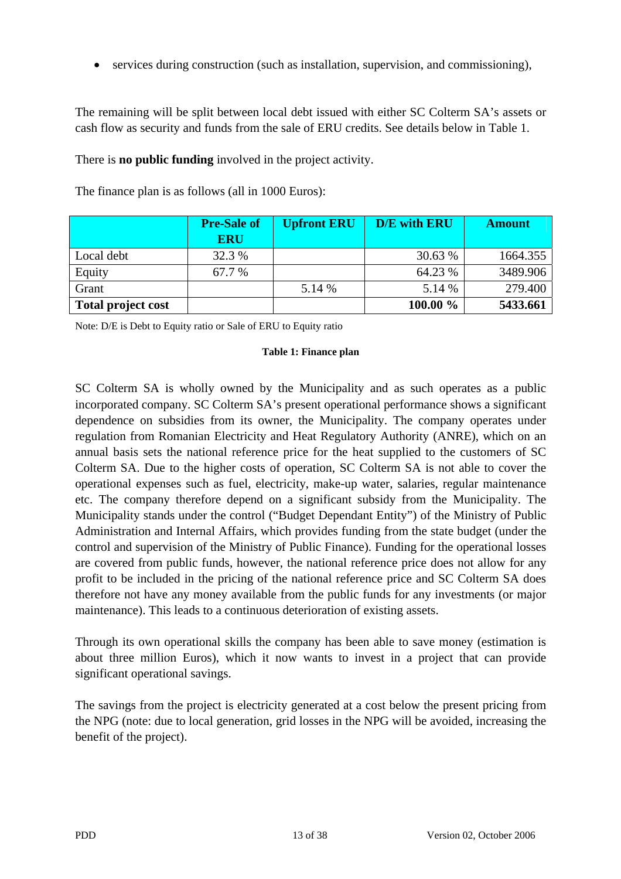• services during construction (such as installation, supervision, and commissioning),

The remaining will be split between local debt issued with either SC Colterm SA's assets or cash flow as security and funds from the sale of ERU credits. See details below in Table 1.

There is **no public funding** involved in the project activity.

|                           | <b>Pre-Sale of</b><br><b>ERU</b> | <b>Upfront ERU</b> | <b>D/E</b> with ERU | <b>Amount</b> |
|---------------------------|----------------------------------|--------------------|---------------------|---------------|
| Local debt                | 32.3 %                           |                    | 30.63 %             | 1664.355      |
| Equity                    | 67.7 %                           |                    | 64.23 %             | 3489.906      |
| Grant                     |                                  | 5.14 %             | 5.14 %              | 279.400       |
| <b>Total project cost</b> |                                  |                    | $100.00 \%$         | 5433.661      |

The finance plan is as follows (all in 1000 Euros):

Note: D/E is Debt to Equity ratio or Sale of ERU to Equity ratio

#### **Table 1: Finance plan**

SC Colterm SA is wholly owned by the Municipality and as such operates as a public incorporated company. SC Colterm SA's present operational performance shows a significant dependence on subsidies from its owner, the Municipality. The company operates under regulation from Romanian Electricity and Heat Regulatory Authority (ANRE), which on an annual basis sets the national reference price for the heat supplied to the customers of SC Colterm SA. Due to the higher costs of operation, SC Colterm SA is not able to cover the operational expenses such as fuel, electricity, make-up water, salaries, regular maintenance etc. The company therefore depend on a significant subsidy from the Municipality. The Municipality stands under the control ("Budget Dependant Entity") of the Ministry of Public Administration and Internal Affairs, which provides funding from the state budget (under the control and supervision of the Ministry of Public Finance). Funding for the operational losses are covered from public funds, however, the national reference price does not allow for any profit to be included in the pricing of the national reference price and SC Colterm SA does therefore not have any money available from the public funds for any investments (or major maintenance). This leads to a continuous deterioration of existing assets.

Through its own operational skills the company has been able to save money (estimation is about three million Euros), which it now wants to invest in a project that can provide significant operational savings.

The savings from the project is electricity generated at a cost below the present pricing from the NPG (note: due to local generation, grid losses in the NPG will be avoided, increasing the benefit of the project).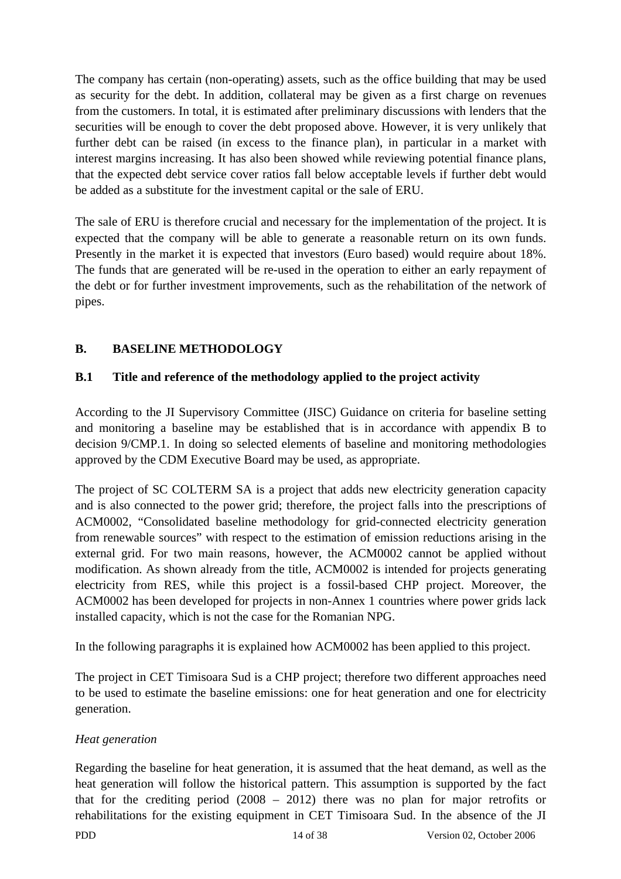The company has certain (non-operating) assets, such as the office building that may be used as security for the debt. In addition, collateral may be given as a first charge on revenues from the customers. In total, it is estimated after preliminary discussions with lenders that the securities will be enough to cover the debt proposed above. However, it is very unlikely that further debt can be raised (in excess to the finance plan), in particular in a market with interest margins increasing. It has also been showed while reviewing potential finance plans, that the expected debt service cover ratios fall below acceptable levels if further debt would be added as a substitute for the investment capital or the sale of ERU.

The sale of ERU is therefore crucial and necessary for the implementation of the project. It is expected that the company will be able to generate a reasonable return on its own funds. Presently in the market it is expected that investors (Euro based) would require about 18%. The funds that are generated will be re-used in the operation to either an early repayment of the debt or for further investment improvements, such as the rehabilitation of the network of pipes.

## **B. BASELINE METHODOLOGY**

## **B.1 Title and reference of the methodology applied to the project activity**

According to the JI Supervisory Committee (JISC) Guidance on criteria for baseline setting and monitoring a baseline may be established that is in accordance with appendix B to decision 9/CMP.1. In doing so selected elements of baseline and monitoring methodologies approved by the CDM Executive Board may be used, as appropriate.

The project of SC COLTERM SA is a project that adds new electricity generation capacity and is also connected to the power grid; therefore, the project falls into the prescriptions of ACM0002, "Consolidated baseline methodology for grid-connected electricity generation from renewable sources" with respect to the estimation of emission reductions arising in the external grid. For two main reasons, however, the ACM0002 cannot be applied without modification. As shown already from the title, ACM0002 is intended for projects generating electricity from RES, while this project is a fossil-based CHP project. Moreover, the ACM0002 has been developed for projects in non-Annex 1 countries where power grids lack installed capacity, which is not the case for the Romanian NPG.

In the following paragraphs it is explained how ACM0002 has been applied to this project.

The project in CET Timisoara Sud is a CHP project; therefore two different approaches need to be used to estimate the baseline emissions: one for heat generation and one for electricity generation.

## *Heat generation*

Regarding the baseline for heat generation, it is assumed that the heat demand, as well as the heat generation will follow the historical pattern. This assumption is supported by the fact that for the crediting period (2008 – 2012) there was no plan for major retrofits or rehabilitations for the existing equipment in CET Timisoara Sud. In the absence of the JI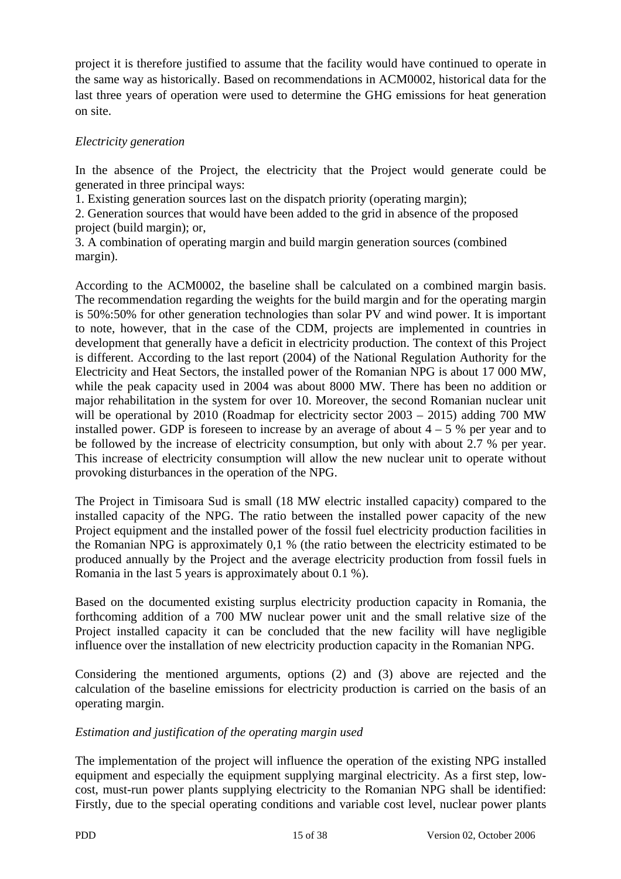project it is therefore justified to assume that the facility would have continued to operate in the same way as historically. Based on recommendations in ACM0002, historical data for the last three years of operation were used to determine the GHG emissions for heat generation on site.

## *Electricity generation*

In the absence of the Project, the electricity that the Project would generate could be generated in three principal ways:

1. Existing generation sources last on the dispatch priority (operating margin);

2. Generation sources that would have been added to the grid in absence of the proposed project (build margin); or,

3. A combination of operating margin and build margin generation sources (combined margin).

According to the ACM0002, the baseline shall be calculated on a combined margin basis. The recommendation regarding the weights for the build margin and for the operating margin is 50%:50% for other generation technologies than solar PV and wind power. It is important to note, however, that in the case of the CDM, projects are implemented in countries in development that generally have a deficit in electricity production. The context of this Project is different. According to the last report (2004) of the National Regulation Authority for the Electricity and Heat Sectors, the installed power of the Romanian NPG is about 17 000 MW, while the peak capacity used in 2004 was about 8000 MW. There has been no addition or major rehabilitation in the system for over 10. Moreover, the second Romanian nuclear unit will be operational by 2010 (Roadmap for electricity sector 2003 – 2015) adding 700 MW installed power. GDP is foreseen to increase by an average of about  $4 - 5$  % per year and to be followed by the increase of electricity consumption, but only with about 2.7 % per year. This increase of electricity consumption will allow the new nuclear unit to operate without provoking disturbances in the operation of the NPG.

The Project in Timisoara Sud is small (18 MW electric installed capacity) compared to the installed capacity of the NPG. The ratio between the installed power capacity of the new Project equipment and the installed power of the fossil fuel electricity production facilities in the Romanian NPG is approximately 0,1 % (the ratio between the electricity estimated to be produced annually by the Project and the average electricity production from fossil fuels in Romania in the last 5 years is approximately about 0.1 %).

Based on the documented existing surplus electricity production capacity in Romania, the forthcoming addition of a 700 MW nuclear power unit and the small relative size of the Project installed capacity it can be concluded that the new facility will have negligible influence over the installation of new electricity production capacity in the Romanian NPG.

Considering the mentioned arguments, options (2) and (3) above are rejected and the calculation of the baseline emissions for electricity production is carried on the basis of an operating margin.

## *Estimation and justification of the operating margin used*

The implementation of the project will influence the operation of the existing NPG installed equipment and especially the equipment supplying marginal electricity. As a first step, lowcost, must-run power plants supplying electricity to the Romanian NPG shall be identified: Firstly, due to the special operating conditions and variable cost level, nuclear power plants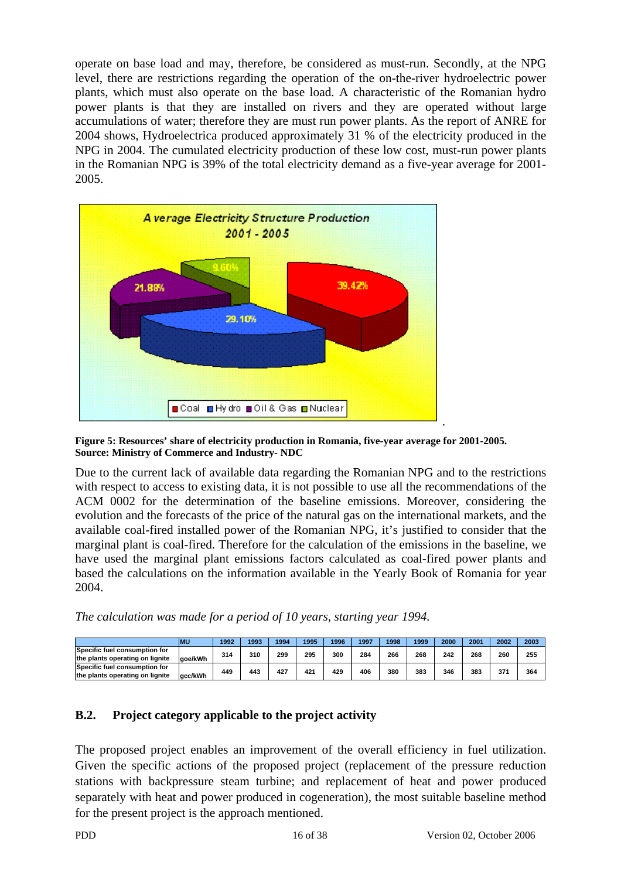operate on base load and may, therefore, be considered as must-run. Secondly, at the NPG level, there are restrictions regarding the operation of the on-the-river hydroelectric power plants, which must also operate on the base load. A characteristic of the Romanian hydro power plants is that they are installed on rivers and they are operated without large accumulations of water; therefore they are must run power plants. As the report of ANRE for 2004 shows, Hydroelectrica produced approximately 31 % of the electricity produced in the NPG in 2004. The cumulated electricity production of these low cost, must-run power plants in the Romanian NPG is 39% of the total electricity demand as a five-year average for 2001- 2005.



**Figure 5: Resources' share of electricity production in Romania, five-year average for 2001-2005. Source: Ministry of Commerce and Industry- NDC** 

Due to the current lack of available data regarding the Romanian NPG and to the restrictions with respect to access to existing data, it is not possible to use all the recommendations of the ACM 0002 for the determination of the baseline emissions. Moreover, considering the evolution and the forecasts of the price of the natural gas on the international markets, and the available coal-fired installed power of the Romanian NPG, it's justified to consider that the marginal plant is coal-fired. Therefore for the calculation of the emissions in the baseline, we have used the marginal plant emissions factors calculated as coal-fired power plants and based the calculations on the information available in the Yearly Book of Romania for year 2004.

*The calculation was made for a period of 10 years, starting year 1994.* 

|                                 | <b>MU</b> | 1992 | 1993 | 1994 | 1995 | 1996 | 1997 | 1998 | 1999 | 2000 | 2001 | 2002 | 2003 |
|---------------------------------|-----------|------|------|------|------|------|------|------|------|------|------|------|------|
| Specific fuel consumption for   |           | 314  | 310  | 299  | 295  | 300  | 284  | 266  | 268  | 242  | 268  | 260  | 255  |
| the plants operating on lignite | aoe/kWh   |      |      |      |      |      |      |      |      |      |      |      |      |
| Specific fuel consumption for   |           | 449  | 443  | 427  | 421  | 429  | 406  | 380  | 383  | 346  | 383  | 371  | 364  |
| the plants operating on lignite | acc/kWh   |      |      |      |      |      |      |      |      |      |      |      |      |

## **B.2. Project category applicable to the project activity**

The proposed project enables an improvement of the overall efficiency in fuel utilization. Given the specific actions of the proposed project (replacement of the pressure reduction stations with backpressure steam turbine; and replacement of heat and power produced separately with heat and power produced in cogeneration), the most suitable baseline method for the present project is the approach mentioned.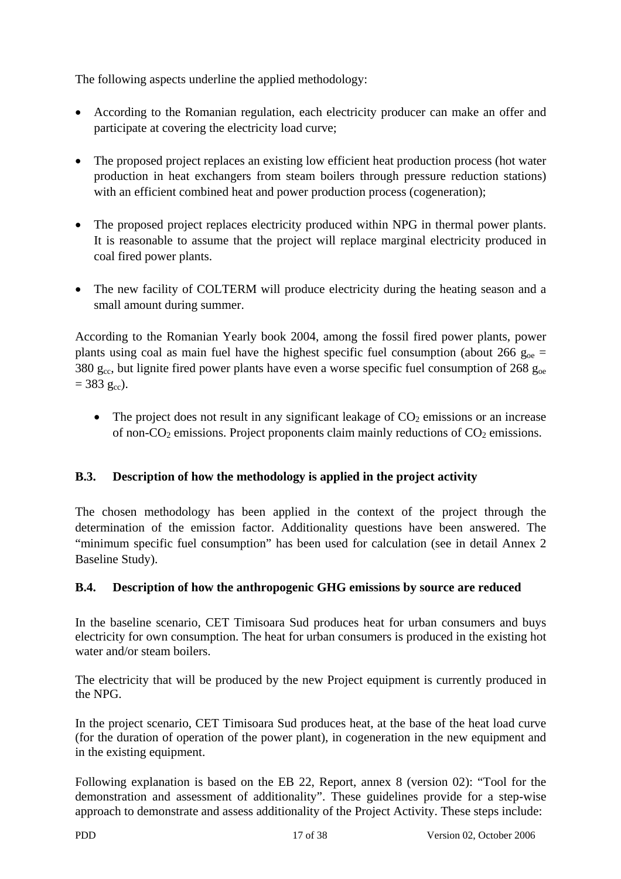The following aspects underline the applied methodology:

- According to the Romanian regulation, each electricity producer can make an offer and participate at covering the electricity load curve;
- The proposed project replaces an existing low efficient heat production process (hot water production in heat exchangers from steam boilers through pressure reduction stations) with an efficient combined heat and power production process (cogeneration);
- The proposed project replaces electricity produced within NPG in thermal power plants. It is reasonable to assume that the project will replace marginal electricity produced in coal fired power plants.
- The new facility of COLTERM will produce electricity during the heating season and a small amount during summer.

According to the Romanian Yearly book 2004, among the fossil fired power plants, power plants using coal as main fuel have the highest specific fuel consumption (about 266  $g_{oe}$  = 380  $g_{cc}$ , but lignite fired power plants have even a worse specific fuel consumption of 268  $g_{oe}$  $= 383 \text{ g}_{\text{cc}}$ ).

• The project does not result in any significant leakage of  $CO<sub>2</sub>$  emissions or an increase of non- $CO_2$  emissions. Project proponents claim mainly reductions of  $CO_2$  emissions.

## **B.3. Description of how the methodology is applied in the project activity**

The chosen methodology has been applied in the context of the project through the determination of the emission factor. Additionality questions have been answered. The "minimum specific fuel consumption" has been used for calculation (see in detail Annex 2 Baseline Study).

## **B.4. Description of how the anthropogenic GHG emissions by source are reduced**

In the baseline scenario, CET Timisoara Sud produces heat for urban consumers and buys electricity for own consumption. The heat for urban consumers is produced in the existing hot water and/or steam boilers.

The electricity that will be produced by the new Project equipment is currently produced in the NPG.

In the project scenario, CET Timisoara Sud produces heat, at the base of the heat load curve (for the duration of operation of the power plant), in cogeneration in the new equipment and in the existing equipment.

Following explanation is based on the EB 22, Report, annex 8 (version 02): "Tool for the demonstration and assessment of additionality". These guidelines provide for a step-wise approach to demonstrate and assess additionality of the Project Activity. These steps include: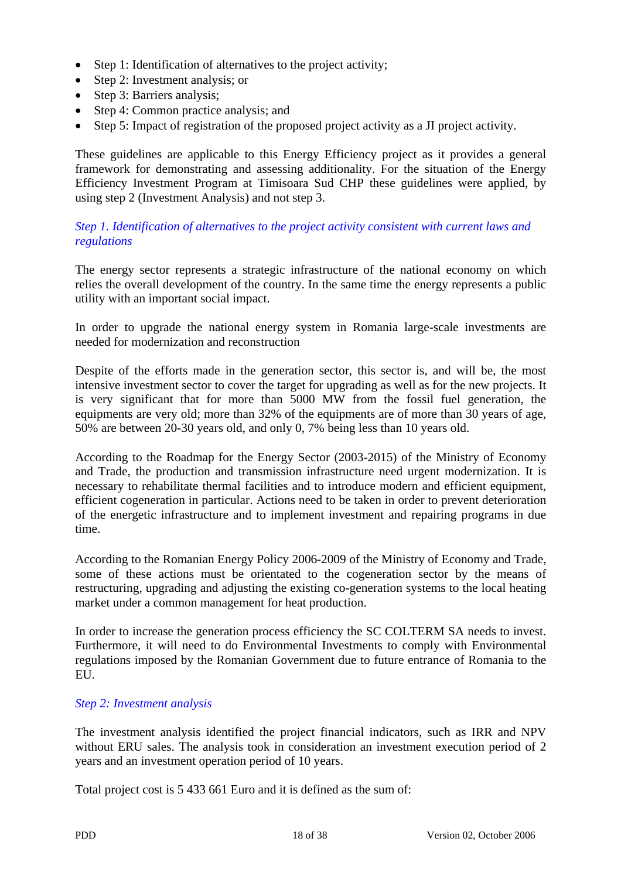- Step 1: Identification of alternatives to the project activity;
- Step 2: Investment analysis; or
- Step 3: Barriers analysis;
- Step 4: Common practice analysis: and
- Step 5: Impact of registration of the proposed project activity as a JI project activity.

These guidelines are applicable to this Energy Efficiency project as it provides a general framework for demonstrating and assessing additionality. For the situation of the Energy Efficiency Investment Program at Timisoara Sud CHP these guidelines were applied, by using step 2 (Investment Analysis) and not step 3.

#### *Step 1. Identification of alternatives to the project activity consistent with current laws and regulations*

The energy sector represents a strategic infrastructure of the national economy on which relies the overall development of the country. In the same time the energy represents a public utility with an important social impact.

In order to upgrade the national energy system in Romania large-scale investments are needed for modernization and reconstruction

Despite of the efforts made in the generation sector, this sector is, and will be, the most intensive investment sector to cover the target for upgrading as well as for the new projects. It is very significant that for more than 5000 MW from the fossil fuel generation, the equipments are very old; more than 32% of the equipments are of more than 30 years of age, 50% are between 20-30 years old, and only 0, 7% being less than 10 years old.

According to the Roadmap for the Energy Sector (2003-2015) of the Ministry of Economy and Trade, the production and transmission infrastructure need urgent modernization. It is necessary to rehabilitate thermal facilities and to introduce modern and efficient equipment, efficient cogeneration in particular. Actions need to be taken in order to prevent deterioration of the energetic infrastructure and to implement investment and repairing programs in due time.

According to the Romanian Energy Policy 2006-2009 of the Ministry of Economy and Trade, some of these actions must be orientated to the cogeneration sector by the means of restructuring, upgrading and adjusting the existing co-generation systems to the local heating market under a common management for heat production.

In order to increase the generation process efficiency the SC COLTERM SA needs to invest. Furthermore, it will need to do Environmental Investments to comply with Environmental regulations imposed by the Romanian Government due to future entrance of Romania to the EU.

#### *Step 2: Investment analysis*

The investment analysis identified the project financial indicators, such as IRR and NPV without ERU sales. The analysis took in consideration an investment execution period of 2 years and an investment operation period of 10 years.

Total project cost is 5 433 661 Euro and it is defined as the sum of: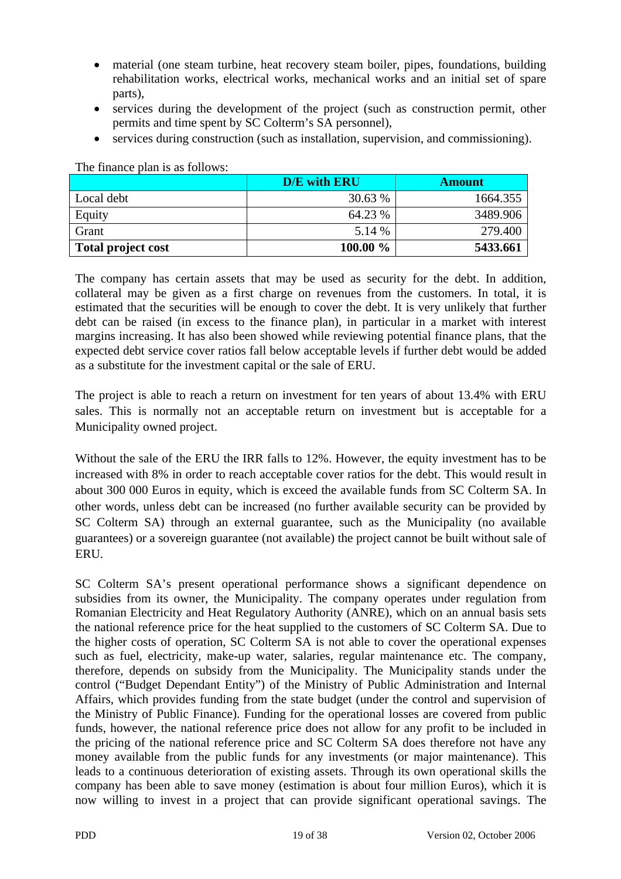- material (one steam turbine, heat recovery steam boiler, pipes, foundations, building rehabilitation works, electrical works, mechanical works and an initial set of spare parts),
- services during the development of the project (such as construction permit, other permits and time spent by SC Colterm's SA personnel),
- services during construction (such as installation, supervision, and commissioning).

**D/E** with ERU **Amount**  $Local debt$  30.63 % 1664.355 Equity 64.23 % 3489.906 Grant 279.400 **Total project cost** 100.00 % 5433.661

The finance plan is as follows:

The company has certain assets that may be used as security for the debt. In addition, collateral may be given as a first charge on revenues from the customers. In total, it is estimated that the securities will be enough to cover the debt. It is very unlikely that further debt can be raised (in excess to the finance plan), in particular in a market with interest margins increasing. It has also been showed while reviewing potential finance plans, that the expected debt service cover ratios fall below acceptable levels if further debt would be added as a substitute for the investment capital or the sale of ERU.

The project is able to reach a return on investment for ten years of about 13.4% with ERU sales. This is normally not an acceptable return on investment but is acceptable for a Municipality owned project.

Without the sale of the ERU the IRR falls to 12%. However, the equity investment has to be increased with 8% in order to reach acceptable cover ratios for the debt. This would result in about 300 000 Euros in equity, which is exceed the available funds from SC Colterm SA. In other words, unless debt can be increased (no further available security can be provided by SC Colterm SA) through an external guarantee, such as the Municipality (no available guarantees) or a sovereign guarantee (not available) the project cannot be built without sale of ERU.

SC Colterm SA's present operational performance shows a significant dependence on subsidies from its owner, the Municipality. The company operates under regulation from Romanian Electricity and Heat Regulatory Authority (ANRE), which on an annual basis sets the national reference price for the heat supplied to the customers of SC Colterm SA. Due to the higher costs of operation, SC Colterm SA is not able to cover the operational expenses such as fuel, electricity, make-up water, salaries, regular maintenance etc. The company, therefore, depends on subsidy from the Municipality. The Municipality stands under the control ("Budget Dependant Entity") of the Ministry of Public Administration and Internal Affairs, which provides funding from the state budget (under the control and supervision of the Ministry of Public Finance). Funding for the operational losses are covered from public funds, however, the national reference price does not allow for any profit to be included in the pricing of the national reference price and SC Colterm SA does therefore not have any money available from the public funds for any investments (or major maintenance). This leads to a continuous deterioration of existing assets. Through its own operational skills the company has been able to save money (estimation is about four million Euros), which it is now willing to invest in a project that can provide significant operational savings. The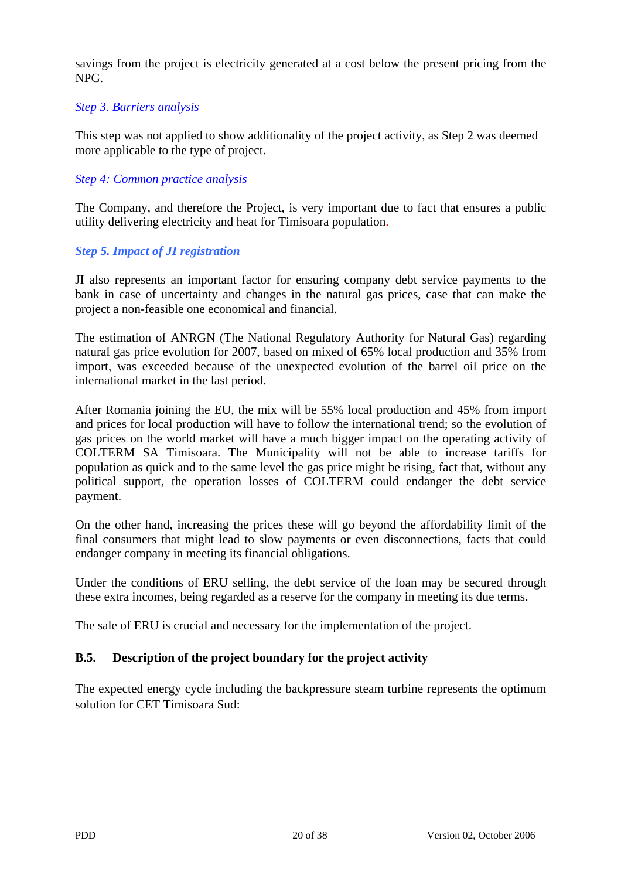savings from the project is electricity generated at a cost below the present pricing from the NPG.

#### *Step 3. Barriers analysis*

This step was not applied to show additionality of the project activity, as Step 2 was deemed more applicable to the type of project.

### *Step 4: Common practice analysis*

The Company, and therefore the Project, is very important due to fact that ensures a public utility delivering electricity and heat for Timisoara population.

#### *Step 5. Impact of JI registration*

JI also represents an important factor for ensuring company debt service payments to the bank in case of uncertainty and changes in the natural gas prices, case that can make the project a non-feasible one economical and financial.

The estimation of ANRGN (The National Regulatory Authority for Natural Gas) regarding natural gas price evolution for 2007, based on mixed of 65% local production and 35% from import, was exceeded because of the unexpected evolution of the barrel oil price on the international market in the last period.

After Romania joining the EU, the mix will be 55% local production and 45% from import and prices for local production will have to follow the international trend; so the evolution of gas prices on the world market will have a much bigger impact on the operating activity of COLTERM SA Timisoara. The Municipality will not be able to increase tariffs for population as quick and to the same level the gas price might be rising, fact that, without any political support, the operation losses of COLTERM could endanger the debt service payment.

On the other hand, increasing the prices these will go beyond the affordability limit of the final consumers that might lead to slow payments or even disconnections, facts that could endanger company in meeting its financial obligations.

Under the conditions of ERU selling, the debt service of the loan may be secured through these extra incomes, being regarded as a reserve for the company in meeting its due terms.

The sale of ERU is crucial and necessary for the implementation of the project.

#### **B.5. Description of the project boundary for the project activity**

The expected energy cycle including the backpressure steam turbine represents the optimum solution for CET Timisoara Sud: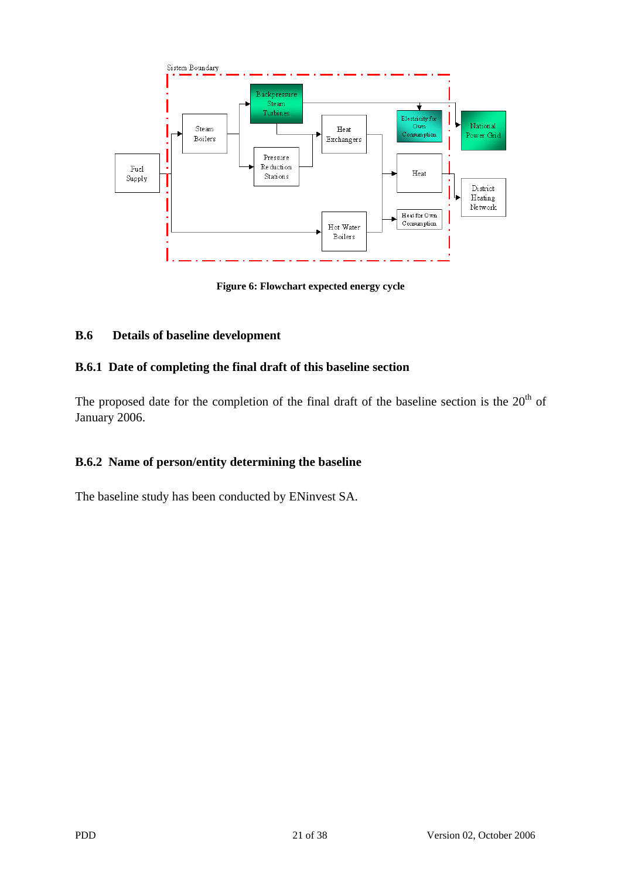

**Figure 6: Flowchart expected energy cycle** 

## **B.6 Details of baseline development**

## **B.6.1 Date of completing the final draft of this baseline section**

The proposed date for the completion of the final draft of the baseline section is the  $20<sup>th</sup>$  of January 2006.

## **B.6.2 Name of person/entity determining the baseline**

The baseline study has been conducted by ENinvest SA.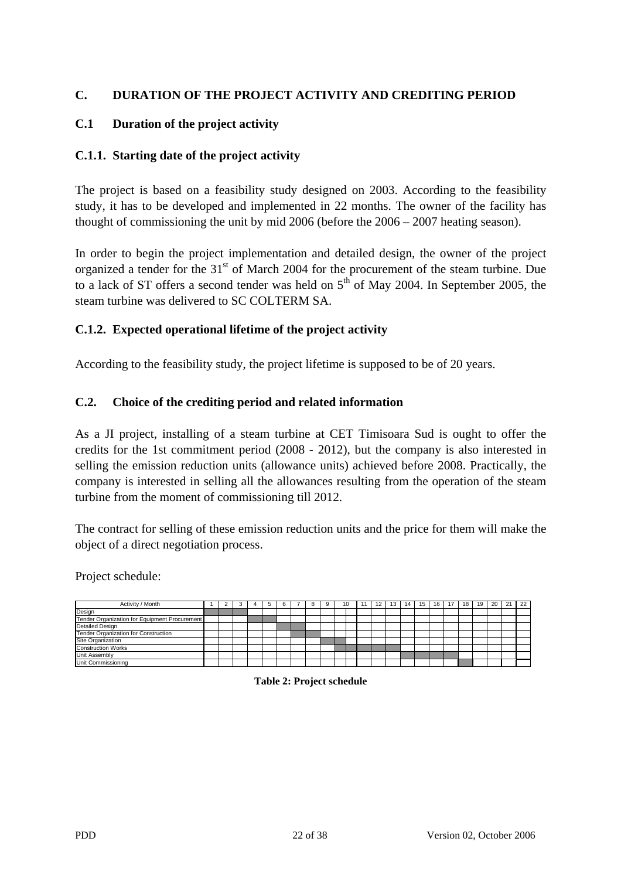## **C. DURATION OF THE PROJECT ACTIVITY AND CREDITING PERIOD**

### **C.1 Duration of the project activity**

#### **C.1.1. Starting date of the project activity**

The project is based on a feasibility study designed on 2003. According to the feasibility study, it has to be developed and implemented in 22 months. The owner of the facility has thought of commissioning the unit by mid 2006 (before the 2006 – 2007 heating season).

In order to begin the project implementation and detailed design, the owner of the project organized a tender for the 31<sup>st</sup> of March 2004 for the procurement of the steam turbine. Due to a lack of ST offers a second tender was held on  $5<sup>th</sup>$  of May 2004. In September 2005, the steam turbine was delivered to SC COLTERM SA.

#### **C.1.2. Expected operational lifetime of the project activity**

According to the feasibility study, the project lifetime is supposed to be of 20 years.

#### **C.2. Choice of the crediting period and related information**

As a JI project, installing of a steam turbine at CET Timisoara Sud is ought to offer the credits for the 1st commitment period (2008 - 2012), but the company is also interested in selling the emission reduction units (allowance units) achieved before 2008. Practically, the company is interested in selling all the allowances resulting from the operation of the steam turbine from the moment of commissioning till 2012.

The contract for selling of these emission reduction units and the price for them will make the object of a direct negotiation process.

Project schedule:

| Activity / Month                              |  |  | 6 |  |  | 10 |  | 13 | 14 | 15 | 16 | 17 | 18 | 19 | 20 | 21 | 22 |
|-----------------------------------------------|--|--|---|--|--|----|--|----|----|----|----|----|----|----|----|----|----|
| Design                                        |  |  |   |  |  |    |  |    |    |    |    |    |    |    |    |    |    |
| Tender Organization for Equipment Procurement |  |  |   |  |  |    |  |    |    |    |    |    |    |    |    |    |    |
| <b>Detailed Design</b>                        |  |  |   |  |  |    |  |    |    |    |    |    |    |    |    |    |    |
| Tender Organization for Construction          |  |  |   |  |  |    |  |    |    |    |    |    |    |    |    |    |    |
| Site Organization                             |  |  |   |  |  |    |  |    |    |    |    |    |    |    |    |    |    |
| <b>Construction Works</b>                     |  |  |   |  |  |    |  |    |    |    |    |    |    |    |    |    |    |
| Unit Assembly                                 |  |  |   |  |  |    |  |    |    |    |    |    |    |    |    |    |    |
| Unit Commissioning                            |  |  |   |  |  |    |  |    |    |    |    |    |    |    |    |    |    |

**Table 2: Project schedule**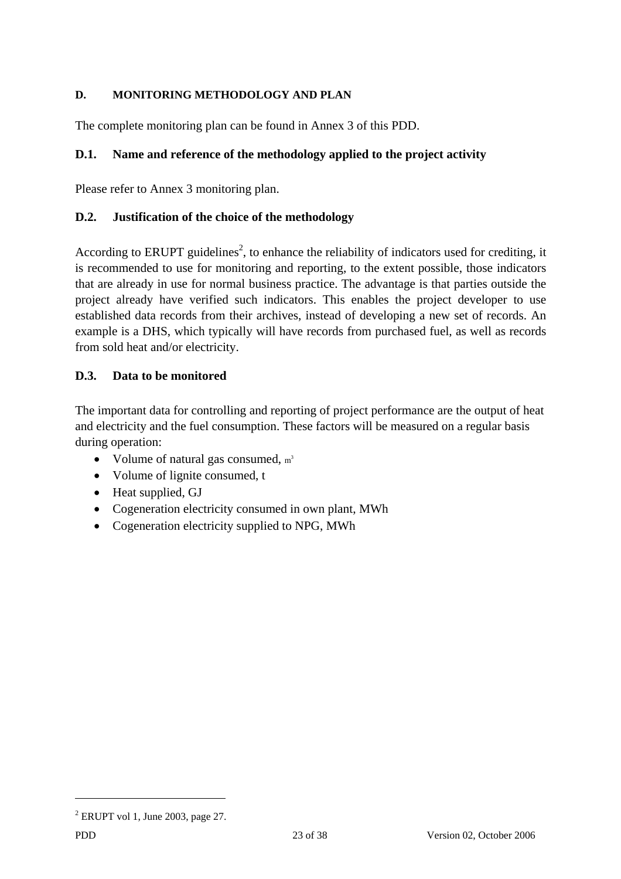## **D. MONITORING METHODOLOGY AND PLAN**

The complete monitoring plan can be found in Annex 3 of this PDD.

## **D.1. Name and reference of the methodology applied to the project activity**

Please refer to Annex 3 monitoring plan.

## **D.2. Justification of the choice of the methodology**

According to ERUPT guidelines<sup>2</sup>, to enhance the reliability of indicators used for crediting, it is recommended to use for monitoring and reporting, to the extent possible, those indicators that are already in use for normal business practice. The advantage is that parties outside the project already have verified such indicators. This enables the project developer to use established data records from their archives, instead of developing a new set of records. An example is a DHS, which typically will have records from purchased fuel, as well as records from sold heat and/or electricity.

## **D.3. Data to be monitored**

The important data for controlling and reporting of project performance are the output of heat and electricity and the fuel consumption. These factors will be measured on a regular basis during operation:

- Volume of natural gas consumed,  $m<sup>3</sup>$
- Volume of lignite consumed, t
- Heat supplied, GJ
- Cogeneration electricity consumed in own plant, MWh
- Cogeneration electricity supplied to NPG, MWh

 $\overline{a}$ 

 $2$  ERUPT vol 1, June 2003, page 27.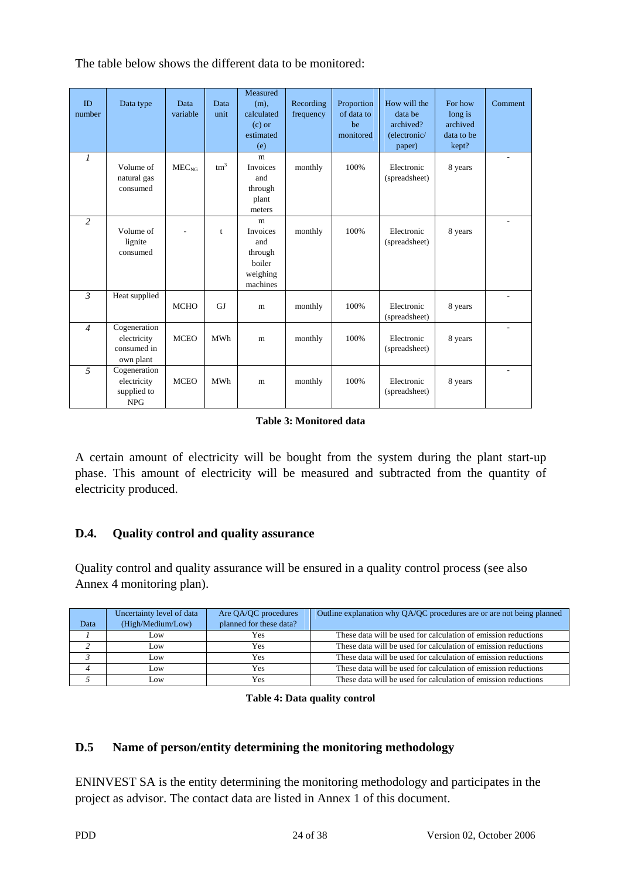The table below shows the different data to be monitored:

| ID<br>number   | Data type                                                | Data<br>variable  | Data<br>unit    | Measured<br>$(m)$ ,<br>calculated<br>$(c)$ or<br>estimated<br>(e) | Recording<br>frequency | Proportion<br>of data to<br>be<br>monitored | How will the<br>data be<br>archived?<br>(electronic/<br>paper) | For how<br>long is<br>archived<br>data to be<br>kept? | Comment                  |
|----------------|----------------------------------------------------------|-------------------|-----------------|-------------------------------------------------------------------|------------------------|---------------------------------------------|----------------------------------------------------------------|-------------------------------------------------------|--------------------------|
| $\mathcal{I}$  | Volume of<br>natural gas<br>consumed                     | MEC <sub>NG</sub> | tm <sup>3</sup> | m<br><b>Invoices</b><br>and<br>through<br>plant<br>meters         | monthly                | 100%                                        | Electronic<br>(spreadsheet)                                    | 8 years                                               | $\overline{\phantom{a}}$ |
| 2              | Volume of<br>lignite<br>consumed                         |                   | t               | m<br>Invoices<br>and<br>through<br>boiler<br>weighing<br>machines | monthly                | 100%                                        | Electronic<br>(spreadsheet)                                    | 8 years                                               | $\sim$                   |
| $\mathcal{E}$  | Heat supplied                                            | <b>MCHO</b>       | GJ              | m                                                                 | monthly                | 100%                                        | Electronic<br>(spreadsheet)                                    | 8 years                                               | ٠                        |
| $\overline{4}$ | Cogeneration<br>electricity<br>consumed in<br>own plant  | <b>MCEO</b>       | <b>MWh</b>      | m                                                                 | monthly                | 100%                                        | Electronic<br>(spreadsheet)                                    | 8 years                                               | ٠                        |
| $\overline{5}$ | Cogeneration<br>electricity<br>supplied to<br><b>NPG</b> | <b>MCEO</b>       | <b>MWh</b>      | m                                                                 | monthly                | 100%                                        | Electronic<br>(spreadsheet)                                    | 8 years                                               | $\overline{\phantom{a}}$ |

#### **Table 3: Monitored data**

A certain amount of electricity will be bought from the system during the plant start-up phase. This amount of electricity will be measured and subtracted from the quantity of electricity produced.

## **D.4. Quality control and quality assurance**

Quality control and quality assurance will be ensured in a quality control process (see also Annex 4 monitoring plan).

|      | Uncertainty level of data | Are QA/QC procedures    | Outline explanation why QA/QC procedures are or are not being planned |
|------|---------------------------|-------------------------|-----------------------------------------------------------------------|
| Data | (High/Medium/Low)         | planned for these data? |                                                                       |
|      | Low.                      | Yes                     | These data will be used for calculation of emission reductions        |
|      | Low                       | Yes                     | These data will be used for calculation of emission reductions        |
|      | Low                       | Yes                     | These data will be used for calculation of emission reductions        |
|      | Low                       | Yes                     | These data will be used for calculation of emission reductions        |
|      | .0W                       | Yes                     | These data will be used for calculation of emission reductions        |

#### **Table 4: Data quality control**

## **D.5 Name of person/entity determining the monitoring methodology**

ENINVEST SA is the entity determining the monitoring methodology and participates in the project as advisor. The contact data are listed in Annex 1 of this document.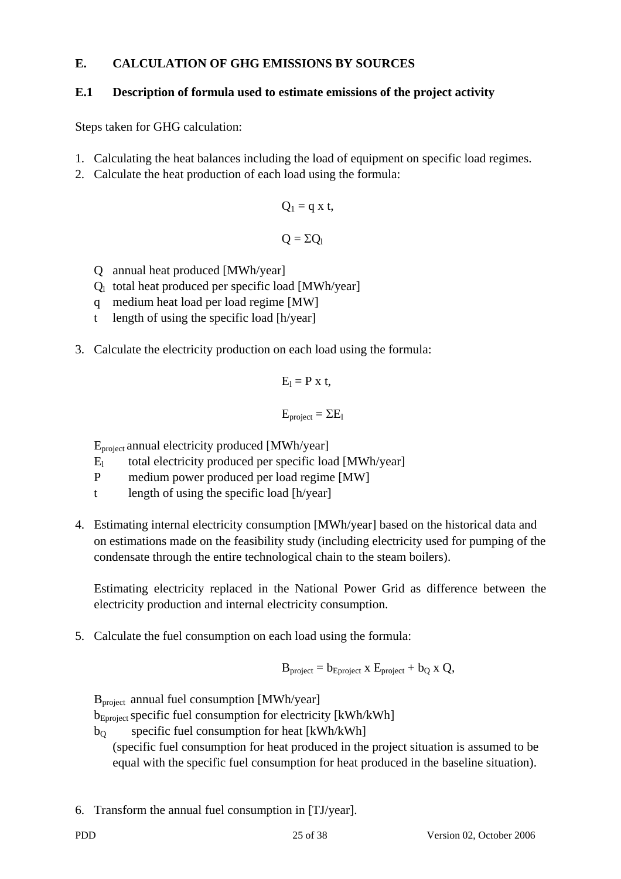## **E. CALCULATION OF GHG EMISSIONS BY SOURCES**

## **E.1 Description of formula used to estimate emissions of the project activity**

Steps taken for GHG calculation:

- 1. Calculating the heat balances including the load of equipment on specific load regimes.
- 2. Calculate the heat production of each load using the formula:

$$
Q_1 = q \times t,
$$
  

$$
Q = \Sigma Q_1
$$

- Q annual heat produced [MWh/year]
- $Q_1$  total heat produced per specific load [MWh/year]
- q medium heat load per load regime [MW]
- t length of using the specific load [h/year]
- 3. Calculate the electricity production on each load using the formula:

$$
E_i = P \times t,
$$

$$
E_{project} = \Sigma E_1
$$

Eproject annual electricity produced [MWh/year]

- $E_1$  total electricity produced per specific load [MWh/year]
- P medium power produced per load regime [MW]
- t length of using the specific load [h/year]
- 4. Estimating internal electricity consumption [MWh/year] based on the historical data and on estimations made on the feasibility study (including electricity used for pumping of the condensate through the entire technological chain to the steam boilers).

 Estimating electricity replaced in the National Power Grid as difference between the electricity production and internal electricity consumption.

5. Calculate the fuel consumption on each load using the formula:

$$
B_{project} = b_{Eproject} \times E_{project} + b_Q \times Q,
$$

Bproject annual fuel consumption [MWh/year]

b<sub>Eproject</sub> specific fuel consumption for electricity [kWh/kWh]

 $b<sub>0</sub>$  specific fuel consumption for heat [kWh/kWh]

(specific fuel consumption for heat produced in the project situation is assumed to be equal with the specific fuel consumption for heat produced in the baseline situation).

6. Transform the annual fuel consumption in [TJ/year].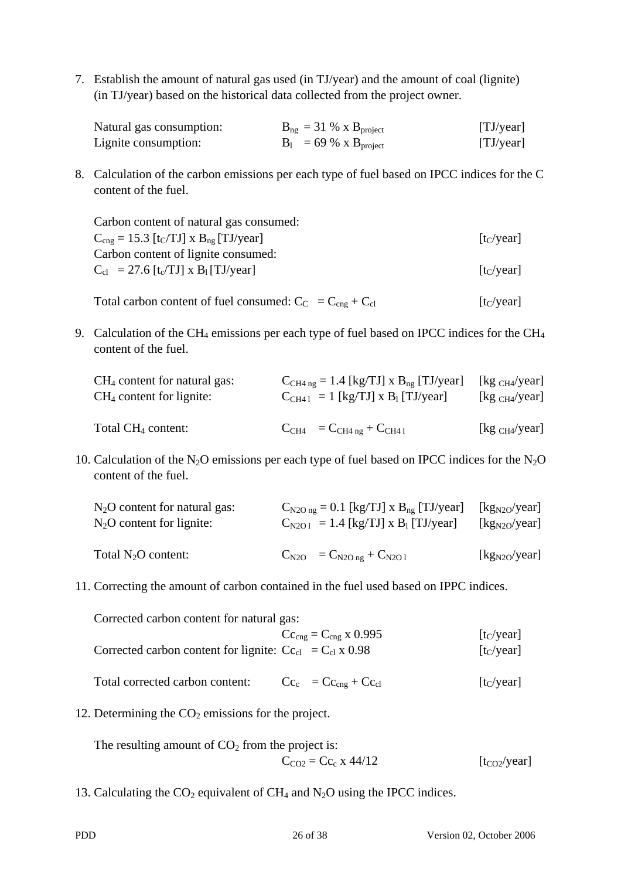7. Establish the amount of natural gas used (in TJ/year) and the amount of coal (lignite) (in TJ/year) based on the historical data collected from the project owner.

| Natural gas consumption: | $B_{ng}$ = 31 % x $B_{project}$  | [TJ/year] |
|--------------------------|----------------------------------|-----------|
| Lignite consumption:     | $B_1 = 69 \% \times B_{project}$ | [TJ/year] |

8. Calculation of the carbon emissions per each type of fuel based on IPCC indices for the C content of the fuel.

 Carbon content of natural gas consumed:  $C_{\text{cng}} = 15.3$  [t<sub>C</sub>/TJ] x B<sub>ng</sub> [TJ/year] [t<sub>C</sub>/year] Carbon content of lignite consumed:  $C_{c1}$  = 27.6 [t<sub>c</sub>/TJ] x B<sub>1</sub> [TJ/year] [t<sub>C</sub>/year]

Total carbon content of fuel consumed:  $C_C = C_{cng} + C_{cl}$  [t<sub>C</sub>/year]

9. Calculation of the CH<sub>4</sub> emissions per each type of fuel based on IPCC indices for the CH<sub>4</sub> content of the fuel.

| $CH4$ content for natural gas: | $C_{CH4 ng} = 1.4 [kg/TJ] x B_{ng} [TJ/year]$     | $\left[\mathrm{kg} \mathrm{_{CH4}/year}\right]$ |
|--------------------------------|---------------------------------------------------|-------------------------------------------------|
| $CH4$ content for lignite:     | $C_{CH41} = 1$ [kg/TJ] x B <sub>1</sub> [TJ/year] | [kg $_{CH4}/year$ ]                             |
| Total $CH_4$ content:          | $C_{CH4} = C_{CH4ng} + C_{CH41}$                  |                                                 |

10. Calculation of the N<sub>2</sub>O emissions per each type of fuel based on IPCC indices for the N<sub>2</sub>O content of the fuel.

| $N_2O$ content for natural gas: | $C_{N2O ng} = 0.1$ [kg/TJ] x $B_{ng}$ [TJ/year]     | $\left[\frac{kg_{N2O}}{year}\right]$ |
|---------------------------------|-----------------------------------------------------|--------------------------------------|
| $N_2O$ content for lignite:     | $C_{N2O1} = 1.4$ [kg/TJ] x B <sub>1</sub> [TJ/year] | [kg <sub>N2O</sub> /year]            |
| Total $N_2O$ content:           | $C_{N2O} = C_{N2Ong} + C_{N2O1}$                    |                                      |

11. Correcting the amount of carbon contained in the fuel used based on IPPC indices.

| Corrected carbon content for natural gas:                                        |                                            |                        |
|----------------------------------------------------------------------------------|--------------------------------------------|------------------------|
|                                                                                  | $Cc_{\text{cng}} = C_{\text{cng}}$ x 0.995 | [t <sub>C</sub> /year] |
| Corrected carbon content for lignite: $C_{\text{c}} = C_{\text{cl}} \times 0.98$ |                                            | $[t_C/year]$           |
| Total corrected carbon content:                                                  | $Cc_c = Cc_{cng} + Cc_{cl}$                | [t <sub>C</sub> /year] |

12. Determining the  $CO<sub>2</sub>$  emissions for the project.

The resulting amount of  $CO<sub>2</sub>$  from the project is:  $C_{CO2} = Cc_c \times 44/12$  [t<sub>CO2</sub>/year]

13. Calculating the  $CO_2$  equivalent of  $CH_4$  and  $N_2O$  using the IPCC indices.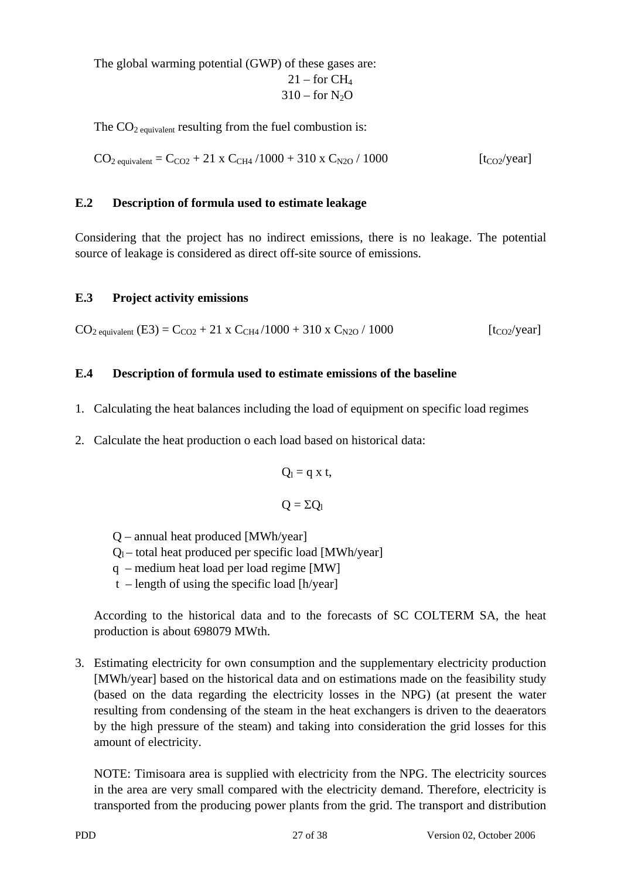The global warming potential (GWP) of these gases are:  $21$  – for  $CH<sub>4</sub>$  $310 -$  for N<sub>2</sub>O

The  $CO<sub>2</sub>$  equivalent resulting from the fuel combustion is:

 $CO_{2 \text{ equivalent}} = C_{CQ2} + 21 \text{ x } C_{CH4} / 1000 + 310 \text{ x } C_{N2O} / 1000$  [t<sub>CO2</sub>/year]

#### **E.2 Description of formula used to estimate leakage**

Considering that the project has no indirect emissions, there is no leakage. The potential source of leakage is considered as direct off-site source of emissions.

#### **E.3 Project activity emissions**

 $CO_{2 \text{ equivalent}}$  (E3) =  $C_{CO2}$  + 21 x  $C_{CH4}/1000$  + 310 x  $C_{N2O}/1000$  [t<sub>CO2</sub>/year]

#### **E.4 Description of formula used to estimate emissions of the baseline**

- 1. Calculating the heat balances including the load of equipment on specific load regimes
- 2. Calculate the heat production o each load based on historical data:

$$
Q_l = q \; x \; t,
$$

$$
Q=\Sigma Q_{\rm l}
$$

- Q annual heat produced [MWh/year]
- $Q_1$  total heat produced per specific load [MWh/year]
- q medium heat load per load regime [MW]
- $t$  length of using the specific load [h/year]

According to the historical data and to the forecasts of SC COLTERM SA, the heat production is about 698079 MWth.

3. Estimating electricity for own consumption and the supplementary electricity production [MWh/year] based on the historical data and on estimations made on the feasibility study (based on the data regarding the electricity losses in the NPG) (at present the water resulting from condensing of the steam in the heat exchangers is driven to the deaerators by the high pressure of the steam) and taking into consideration the grid losses for this amount of electricity.

NOTE: Timisoara area is supplied with electricity from the NPG. The electricity sources in the area are very small compared with the electricity demand. Therefore, electricity is transported from the producing power plants from the grid. The transport and distribution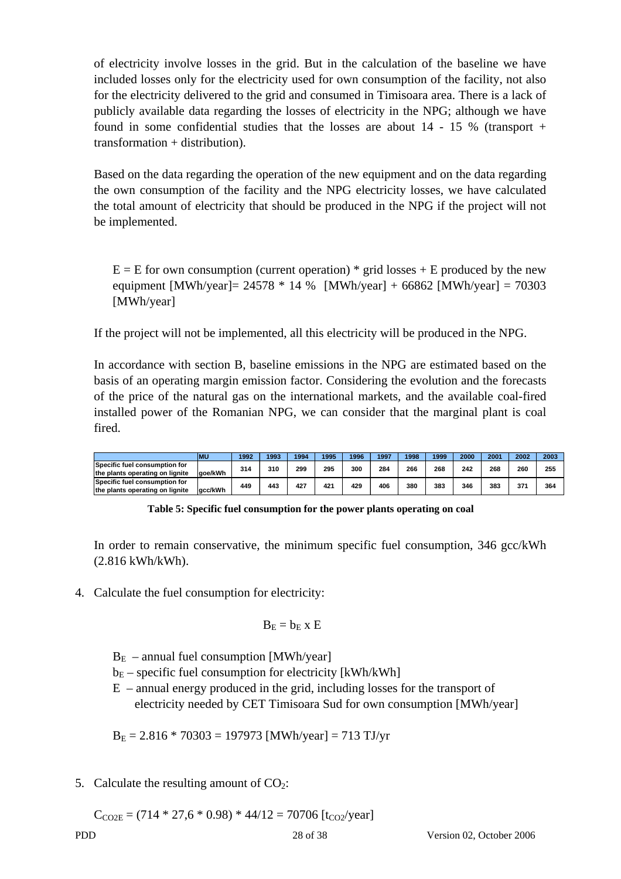of electricity involve losses in the grid. But in the calculation of the baseline we have included losses only for the electricity used for own consumption of the facility, not also for the electricity delivered to the grid and consumed in Timisoara area. There is a lack of publicly available data regarding the losses of electricity in the NPG; although we have found in some confidential studies that the losses are about 14 - 15 % (transport + transformation + distribution).

Based on the data regarding the operation of the new equipment and on the data regarding the own consumption of the facility and the NPG electricity losses, we have calculated the total amount of electricity that should be produced in the NPG if the project will not be implemented.

 $E = E$  for own consumption (current operation) \* grid losses + E produced by the new equipment  $[MWh/year] = 24578 * 14 %$   $[MWh/year] + 66862 [MWh/year] = 70303$ [MWh/year]

If the project will not be implemented, all this electricity will be produced in the NPG.

In accordance with section B, baseline emissions in the NPG are estimated based on the basis of an operating margin emission factor. Considering the evolution and the forecasts of the price of the natural gas on the international markets, and the available coal-fired installed power of the Romanian NPG, we can consider that the marginal plant is coal fired.

|                                                                  | <b>MU</b> | 1992 | 1993 | 1994 | 1995 | 1996 | 1997 | 1998 | 1999 | 2000 | 2001 | 2002 | 2003 |
|------------------------------------------------------------------|-----------|------|------|------|------|------|------|------|------|------|------|------|------|
| Specific fuel consumption for<br>the plants operating on lignite | aoe/kWh   | 314  | 310  | 299  | 295  | 300  | 284  | 266  | 268  | 242  | 268  | 260  | 255  |
| Specific fuel consumption for<br>the plants operating on lignite | acc/kWh   | 449  | 443  | 427  | 421  | 429  | 406  | 380  | 383  | 346  | 383  | 371  | 364  |

**Table 5: Specific fuel consumption for the power plants operating on coal** 

In order to remain conservative, the minimum specific fuel consumption, 346 gcc/kWh (2.816 kWh/kWh).

4. Calculate the fuel consumption for electricity:

$$
B_E = b_E \; x \; E
$$

- $B<sub>E</sub>$  annual fuel consumption [MWh/year]
- $b_E$  specific fuel consumption for electricity [kWh/kWh]
- E annual energy produced in the grid, including losses for the transport of electricity needed by CET Timisoara Sud for own consumption [MWh/year]

 $B_E = 2.816 * 70303 = 197973$  [MWh/year] = 713 TJ/yr

5. Calculate the resulting amount of  $CO<sub>2</sub>$ :

 $C_{\text{CO2E}} = (714 * 27.6 * 0.98) * 44/12 = 70706 \text{ [t}_{\text{CO2}}/\text{year}]$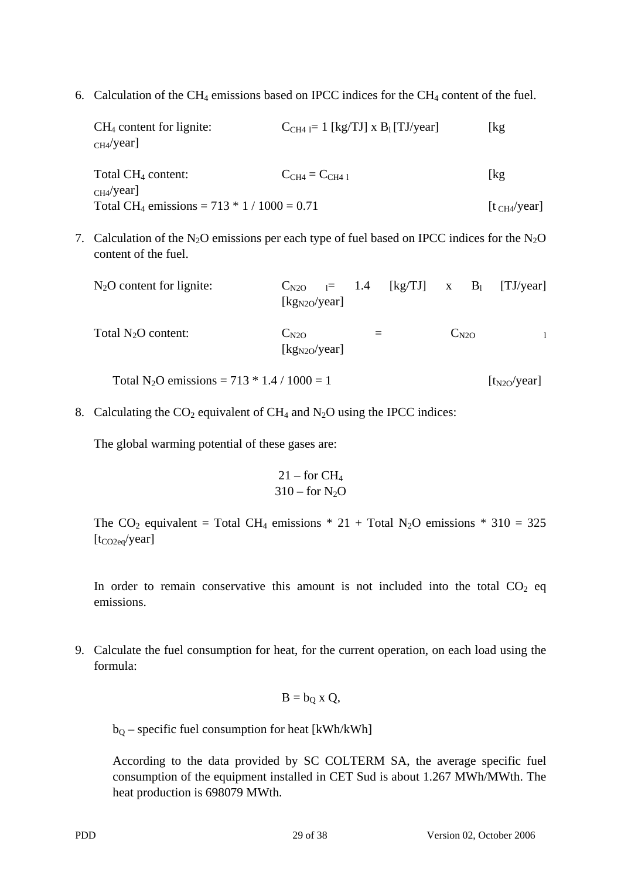6. Calculation of the CH<sub>4</sub> emissions based on IPCC indices for the CH<sub>4</sub> content of the fuel.

| $CH4$ content for lignite:<br>$CH4$ /year]                | $C_{CH4} = 1$ [kg/TJ] x B <sub>1</sub> [TJ/year] | [kg                      |
|-----------------------------------------------------------|--------------------------------------------------|--------------------------|
| Total $CH_4$ content:<br>CH4/year                         | $C_{CH4} = C_{CH41}$                             | [kg]                     |
| Total CH <sub>4</sub> emissions = $713 * 1 / 1000 = 0.71$ |                                                  | [t <sub>CH4</sub> /year] |

7. Calculation of the N<sub>2</sub>O emissions per each type of fuel based on IPCC indices for the N<sub>2</sub>O content of the fuel.

| $N_2O$ content for lignite:                               | $C_{N2O}$ = 1.4 [kg/TJ] x B <sub>1</sub> [TJ/year]<br>$\left[\frac{kg_{N2O}}{year}\right]$ |  |           |                  |
|-----------------------------------------------------------|--------------------------------------------------------------------------------------------|--|-----------|------------------|
| Total $N_2O$ content:                                     | $C_{N2O}$<br>$[kg_{N2O}/year]$                                                             |  | $C_{N2O}$ |                  |
| Total N <sub>2</sub> O emissions = $713 * 1.4 / 1000 = 1$ |                                                                                            |  |           | $[t_{N2O}/year]$ |

8. Calculating the  $CO_2$  equivalent of  $CH_4$  and  $N_2O$  using the IPCC indices:

The global warming potential of these gases are:

$$
\begin{array}{c} 21 - for\ CH_4 \\ 310 - for\ N_2O \end{array}
$$

The CO<sub>2</sub> equivalent = Total CH<sub>4</sub> emissions \* 21 + Total N<sub>2</sub>O emissions \* 310 = 325  $[t_{CO2eq}/year]$ 

In order to remain conservative this amount is not included into the total  $CO<sub>2</sub>$  eq emissions.

9. Calculate the fuel consumption for heat, for the current operation, on each load using the formula:

$$
B=b_Q\ x\ Q,
$$

 $b<sub>0</sub>$  – specific fuel consumption for heat [kWh/kWh]

According to the data provided by SC COLTERM SA, the average specific fuel consumption of the equipment installed in CET Sud is about 1.267 MWh/MWth. The heat production is 698079 MWth.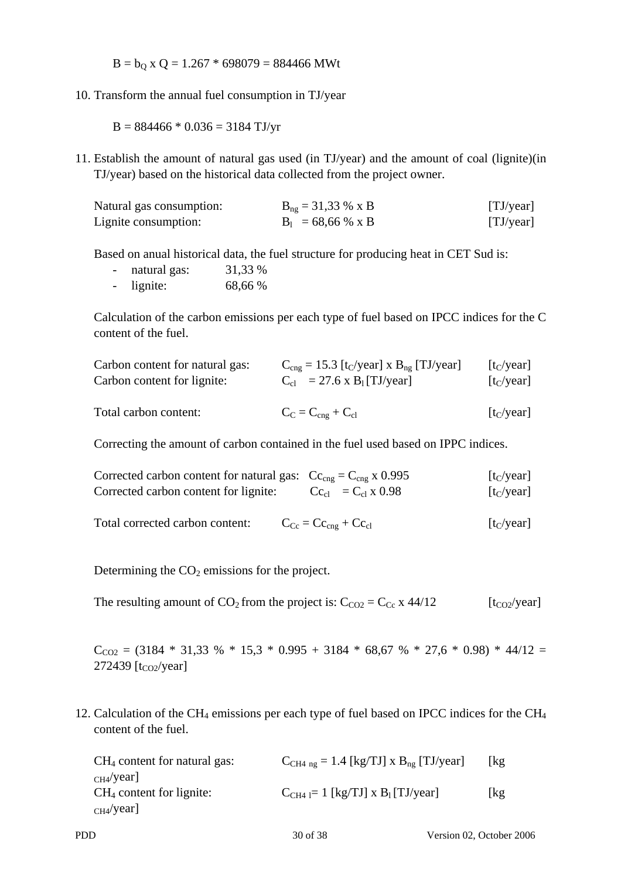$B = b<sub>Q</sub>$  x Q = 1.267 \* 698079 = 884466 MWt

10. Transform the annual fuel consumption in TJ/year

 $B = 884466 * 0.036 = 3184$  TJ/yr

11. Establish the amount of natural gas used (in TJ/year) and the amount of coal (lignite)(in TJ/year) based on the historical data collected from the project owner.

| Natural gas consumption: | $B_{ng} = 31,33 % x B$ | [TJ/year] |
|--------------------------|------------------------|-----------|
| Lignite consumption:     | $B_1 = 68,66 % x B$    | [TJ/year] |

Based on anual historical data, the fuel structure for producing heat in CET Sud is:

- natural gas:  $31,33\%$
- lignite: 68,66 %

Calculation of the carbon emissions per each type of fuel based on IPCC indices for the C content of the fuel.

| Carbon content for natural gas: | $C_{\text{cng}} = 15.3$ [t <sub>C</sub> /year] x B <sub>ng</sub> [TJ/year] | $[t_C/year]$                     |
|---------------------------------|----------------------------------------------------------------------------|----------------------------------|
| Carbon content for lignite:     | $C_{cl}$ = 27.6 x B <sub>1</sub> [TJ/year]                                 | $\left[t_{C}/\text{year}\right]$ |
| Total carbon content:           | $C_C = C_{cng} + C_{cl}$                                                   | $\left[t_{C}/\text{year}\right]$ |

Correcting the amount of carbon contained in the fuel used based on IPPC indices.

| Corrected carbon content for natural gas: $Cc_{\text{cng}} = C_{\text{cng}} x 0.995$<br>Corrected carbon content for lignite: | $Cc_{cl} = C_{cl} x 0.98$                          | $[t_C/year]$<br>$\left[t_{C}/\text{year}\right]$ |
|-------------------------------------------------------------------------------------------------------------------------------|----------------------------------------------------|--------------------------------------------------|
| Total corrected carbon content:                                                                                               | $C_{\text{Cc}} = C_{\text{Ceng}} + C_{\text{ccl}}$ | [t <sub>C</sub> /year]                           |

Determining the  $CO<sub>2</sub>$  emissions for the project.

The resulting amount of  $CO_2$  from the project is:  $C_{CO2} = C_{Cc}$  x 44/12 [t<sub>CO2</sub>/year]

 $C_{CO2}$  = (3184 \* 31,33 % \* 15,3 \* 0.995 + 3184 \* 68,67 % \* 27,6 \* 0.98) \* 44/12 = 272439 [t<sub>CO2</sub>/year]

12. Calculation of the CH<sub>4</sub> emissions per each type of fuel based on IPCC indices for the CH<sub>4</sub> content of the fuel.

| $CH4$ content for natural gas: | $C_{CH4ng} = 1.4$ [kg/TJ] x $B_{ng}$ [TJ/year]   | kg  |
|--------------------------------|--------------------------------------------------|-----|
| $CH4$ /year]                   |                                                  |     |
| $CH4$ content for lignite:     | $C_{CH4} = 1$ [kg/TJ] x B <sub>1</sub> [TJ/year] | [kg |
| $CH4$ /year]                   |                                                  |     |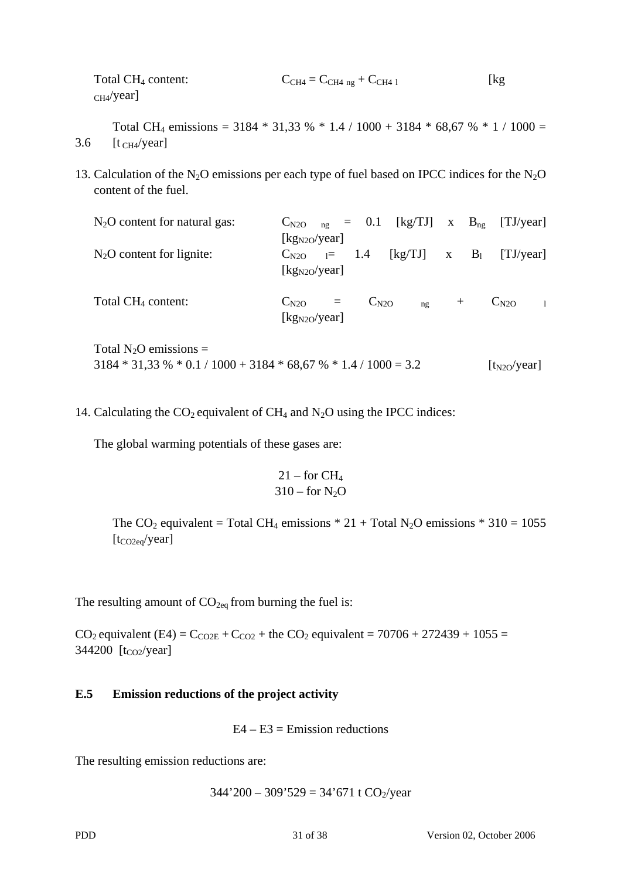| Total CH <sub>4</sub> content: | $C_{CH4} = C_{CH4ng} + C_{CH41}$ | $\lceil \text{kg} \rceil$ |
|--------------------------------|----------------------------------|---------------------------|
| $CH4$ /year]                   |                                  |                           |

Total CH<sub>4</sub> emissions = 3184  $*$  31,33 %  $*$  1.4 / 1000 + 3184  $*$  68,67 %  $*$  1 / 1000 = 3.6  $[t_{CH4}/year]$ 

13. Calculation of the N<sub>2</sub>O emissions per each type of fuel based on IPCC indices for the N<sub>2</sub>O content of the fuel.

| $N_2O$ content for natural gas: | $C_{N2O}$ <sub>ng</sub> = 0.1 [kg/TJ] x $B_{ng}$ [TJ/year] |                                 |        |                           |
|---------------------------------|------------------------------------------------------------|---------------------------------|--------|---------------------------|
|                                 | [kg <sub>N2O</sub> /year]                                  |                                 |        |                           |
| $N_2O$ content for lignite:     | $C_{N2O}$ $_{1}$ = 1.4 [kg/TJ] x B <sub>1</sub>            |                                 |        | [TJ/year]                 |
|                                 | [kg <sub>N2O</sub> /year]                                  |                                 |        |                           |
| Total CH <sub>4</sub> content:  | $C_{N2O}$ =                                                | $C_{N2O}$<br>$n_{\mathfrak{L}}$ | $^{+}$ | $C_{N2O}$<br>$\mathbf{1}$ |
|                                 | $[kg_{N2O}/year]$                                          |                                 |        |                           |
| Total $N_2O$ emissions =        |                                                            |                                 |        |                           |

 $3184 * 31,33 % * 0.1 / 1000 + 3184 * 68,67 % * 1.4 / 1000 = 3.2$  [t<sub>N2O</sub>/year]

14. Calculating the  $CO_2$  equivalent of  $CH_4$  and  $N_2O$  using the IPCC indices:

The global warming potentials of these gases are:

$$
\begin{array}{c} 21 - for\ CH_4 \\ 310 - for\ N_2O \end{array}
$$

The CO<sub>2</sub> equivalent = Total CH<sub>4</sub> emissions  $* 21 + Total N_2O$  emissions  $* 310 = 1055$  $[t_{CO2eq}/year]$ 

The resulting amount of  $CO<sub>2eq</sub>$  from burning the fuel is:

 $CO_2$  equivalent (E4) =  $C_{CO2E}$  +  $C_{CO2}$  + the  $CO_2$  equivalent = 70706 + 272439 + 1055 = 344200 [t<sub>CO2</sub>/year]

## **E.5 Emission reductions of the project activity**

 $E4 - E3 =$ Emission reductions

The resulting emission reductions are:

$$
344'200 - 309'529 = 34'671 t CO2/year
$$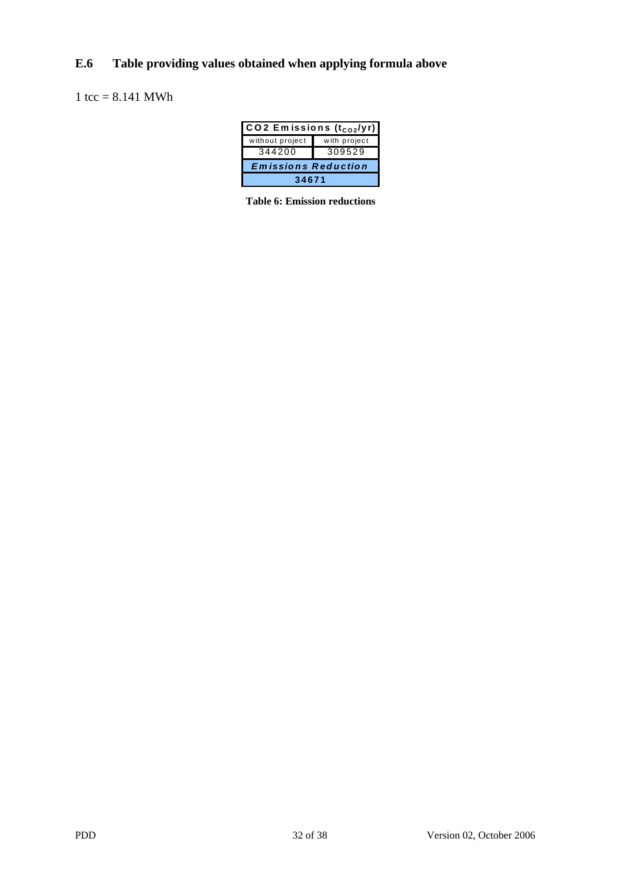## **E.6 Table providing values obtained when applying formula above**

## 1 tcc =  $8.141$  MWh

| $\overline{CO2}$ Emissions (t <sub>CO2</sub> /yr) |              |  |  |  |  |
|---------------------------------------------------|--------------|--|--|--|--|
| without project                                   | with project |  |  |  |  |
| 344200                                            | 309529       |  |  |  |  |
| <b>Emissions Reduction</b>                        |              |  |  |  |  |
| 34671                                             |              |  |  |  |  |

**Table 6: Emission reductions**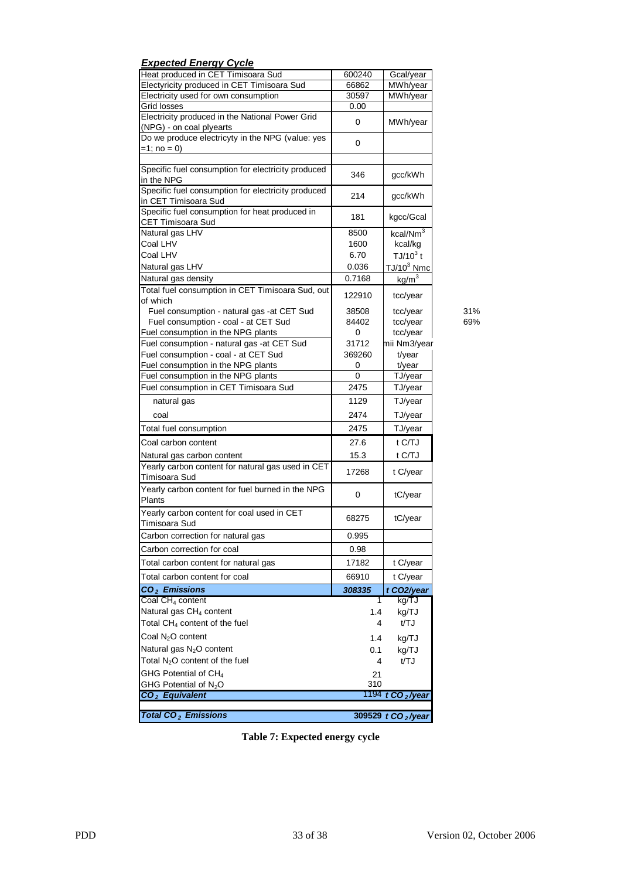| <b>Expected Energy Cycle</b>                                                    |            |                                |
|---------------------------------------------------------------------------------|------------|--------------------------------|
| Heat produced in CET Timisoara Sud                                              | 600240     | Gcal/year                      |
| Electyricity produced in CET Timisoara Sud                                      | 66862      | MWh/year                       |
| Electricity used for own consumption                                            | 30597      | MWh/year                       |
| Grid losses                                                                     | 0.00       |                                |
| Electricity produced in the National Power Grid<br>(NPG) - on coal plyearts     | 0          | MWh/year                       |
| Do we produce electricyty in the NPG (value: yes                                |            |                                |
| $=1$ ; no = 0)                                                                  | 0          |                                |
| Specific fuel consumption for electricity produced                              |            |                                |
| in the NPG                                                                      | 346        | gcc/kWh                        |
| Specific fuel consumption for electricity produced<br>in CET Timisoara Sud      | 214        | gcc/kWh                        |
| Specific fuel consumption for heat produced in                                  | 181        | kgcc/Gcal                      |
| CET Timisoara Sud<br>Natural gas LHV                                            | 8500       | kcal/Nm <sup>3</sup>           |
| Coal LHV                                                                        | 1600       | kcal/kg                        |
| Coal LHV                                                                        | 6.70       | TJ/10 $3$ t                    |
| Natural gas LHV                                                                 | 0.036      | $TJ/10^3$ Nmc                  |
| Natural gas density                                                             | 0.7168     | kg/m <sup>3</sup>              |
| Total fuel consumption in CET Timisoara Sud, out                                | 122910     | tcc/year                       |
| of which                                                                        |            |                                |
| Fuel consumption - natural gas -at CET Sud                                      | 38508      | tcc/year                       |
| Fuel consumption - coal - at CET Sud<br>Fuel consumption in the NPG plants      | 84402<br>0 | tcc/year<br>tcc/year           |
| Fuel consumption - natural gas -at CET Sud                                      | 31712      | mii Nm3/year                   |
| Fuel consumption - coal - at CET Sud                                            | 369260     | t/year                         |
| Fuel consumption in the NPG plants                                              | 0          | t/year                         |
| Fuel consumption in the NPG plants                                              | $\Omega$   | TJ/year                        |
| Fuel consumption in CET Timisoara Sud                                           | 2475       | TJ/year                        |
| natural gas                                                                     | 1129       | TJ/year                        |
|                                                                                 | 2474       |                                |
| coal<br>Total fuel consumption                                                  | 2475       | TJ/year<br>TJ/year             |
| Coal carbon content                                                             | 27.6       | t C/TJ                         |
|                                                                                 |            |                                |
| Natural gas carbon content<br>Yearly carbon content for natural gas used in CET | 15.3       | t C/TJ                         |
| Timisoara Sud                                                                   | 17268      | t C/year                       |
| Yearly carbon content for fuel burned in the NPG<br>Plants                      | 0          | tC/year                        |
| Yearly carbon content for coal used in CET<br>Timisoara Sud                     | 68275      | tC/year                        |
| Carbon correction for natural gas                                               | 0.995      |                                |
| Carbon correction for coal                                                      | 0.98       |                                |
| Total carbon content for natural gas                                            | 17182      | t C/year                       |
| Total carbon content for coal                                                   | 66910      | t C/year                       |
| $CO2$ Emissions                                                                 | 308335     | t CO <sub>2</sub> /year        |
| Coal CH <sub>4</sub> content                                                    | 1          | kg/TJ                          |
| Natural gas CH <sub>4</sub> content                                             | 1.4        | kg/TJ                          |
| Total CH <sub>4</sub> content of the fuel                                       | 4          | t/TJ                           |
| Coal N <sub>2</sub> O content                                                   | 1.4        | kg/TJ                          |
| Natural gas N <sub>2</sub> O content                                            | 0.1        | kg/TJ                          |
| Total $N_2O$ content of the fuel                                                | 4          | t/TJ                           |
| GHG Potential of CH <sub>4</sub>                                                | 21         |                                |
| GHG Potential of N <sub>2</sub> O                                               | 310        |                                |
| CO <sub>2</sub> Equivalent                                                      |            | 1194 t CO <sub>2</sub> /year   |
| <b>Total CO<sub>2</sub></b> Emissions                                           |            | 309529 t CO <sub>2</sub> /year |
|                                                                                 |            |                                |

**Table 7: Expected energy cycle**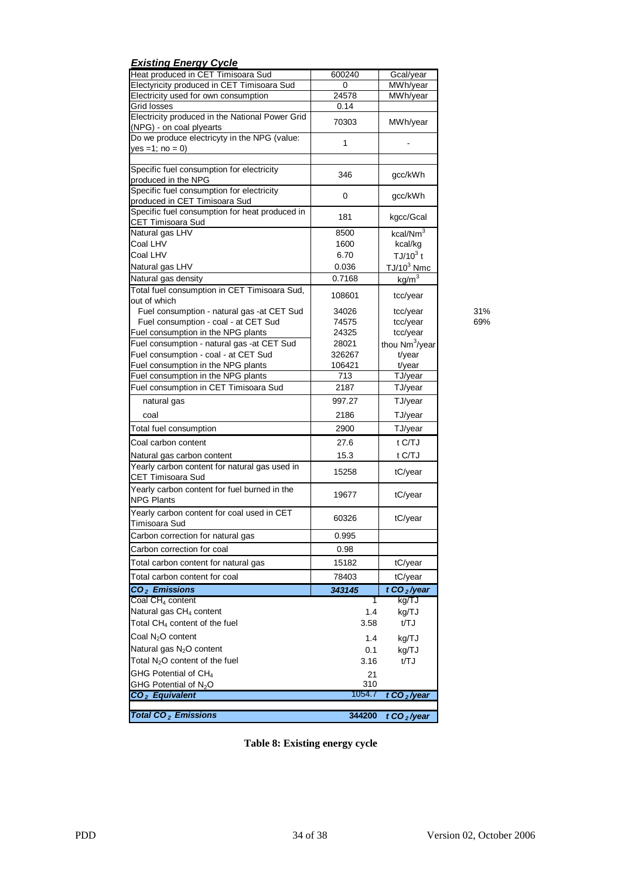| <b>Existing Energy Cycle</b>                                     |        |                            |
|------------------------------------------------------------------|--------|----------------------------|
| Heat produced in CET Timisoara Sud                               | 600240 | Gcal/year                  |
| Electyricity produced in CET Timisoara Sud                       | 0      | MWh/year                   |
| Electricity used for own consumption                             | 24578  | MWh/year                   |
| Grid losses                                                      | 0.14   |                            |
| Electricity produced in the National Power Grid                  | 70303  | MWh/year                   |
| (NPG) - on coal plyearts                                         |        |                            |
| Do we produce electricyty in the NPG (value:                     | 1      |                            |
| $yes = 1; no = 0)$                                               |        |                            |
|                                                                  |        |                            |
| Specific fuel consumption for electricity<br>produced in the NPG | 346    | gcc/kWh                    |
| Specific fuel consumption for electricity                        |        |                            |
| produced in CET Timisoara Sud                                    | 0      | gcc/kWh                    |
| Specific fuel consumption for heat produced in                   |        |                            |
| CET Timisoara Sud                                                | 181    | kgcc/Gcal                  |
| Natural gas LHV                                                  | 8500   | kcal/Nm <sup>3</sup>       |
| Coal LHV                                                         | 1600   | kcal/kg                    |
| Coal LHV                                                         | 6.70   | $TJ/10^3$ t                |
| Natural gas LHV                                                  | 0.036  | $TJ/10^3$ Nmc              |
| Natural gas density                                              | 0.7168 |                            |
| Total fuel consumption in CET Timisoara Sud,                     |        | kg/m <sup>3</sup>          |
| out of which                                                     | 108601 | tcc/year                   |
| Fuel consumption - natural gas - at CET Sud                      | 34026  | tcc/year                   |
| Fuel consumption - coal - at CET Sud                             | 74575  | tcc/year                   |
| Fuel consumption in the NPG plants                               | 24325  | tcc/year                   |
| Fuel consumption - natural gas -at CET Sud                       | 28021  | thou Nm <sup>3</sup> /year |
| Fuel consumption - coal - at CET Sud                             | 326267 | t/year                     |
| Fuel consumption in the NPG plants                               | 106421 | t/year                     |
| Fuel consumption in the NPG plants                               | 713    | TJ/year                    |
| Fuel consumption in CET Timisoara Sud                            | 2187   | TJ/year                    |
|                                                                  |        |                            |
| natural gas                                                      | 997.27 | TJ/year                    |
| coal                                                             | 2186   | TJ/year                    |
| Total fuel consumption                                           | 2900   | TJ/year                    |
| Coal carbon content                                              | 27.6   | t C/TJ                     |
| Natural gas carbon content                                       | 15.3   | t C/TJ                     |
| Yearly carbon content for natural gas used in                    |        |                            |
| <b>CET Timisoara Sud</b>                                         | 15258  | tC/year                    |
| Yearly carbon content for fuel burned in the                     |        |                            |
| <b>NPG Plants</b>                                                | 19677  | tC/year                    |
| Yearly carbon content for coal used in CET                       |        |                            |
| Timisoara Sud                                                    | 60326  | tC/year                    |
| Carbon correction for natural gas                                | 0.995  |                            |
|                                                                  |        |                            |
| Carbon correction for coal                                       | 0.98   |                            |
| Total carbon content for natural gas                             | 15182  | tC/year                    |
| Total carbon content for coal                                    | 78403  | tC/year                    |
| $CO2$ Emissions                                                  | 343145 | t CO <sub>2</sub> /year    |
| Coal $CH4$ content                                               | 1      | kg/TJ                      |
| Natural gas CH <sub>4</sub> content                              | 1.4    | kg/TJ                      |
| Total CH <sub>4</sub> content of the fuel                        | 3.58   | t/TJ                       |
| Coal N <sub>2</sub> O content                                    | 1.4    |                            |
|                                                                  |        | kg/TJ                      |
| Natural gas N <sub>2</sub> O content                             | 0.1    | kg/TJ                      |
| Total N <sub>2</sub> O content of the fuel                       | 3.16   | t/TJ                       |
| GHG Potential of CH <sub>4</sub>                                 | 21     |                            |
| GHG Potential of N <sub>2</sub> O                                | 310    |                            |
| CO <sub>2</sub> Equivalent                                       | 1054.7 | t CO <sub>2</sub> /year    |
|                                                                  |        |                            |
| <b>Total CO<sub>2</sub></b> Emissions                            | 344200 | t CO <sub>2</sub> /year    |

**Table 8: Existing energy cycle**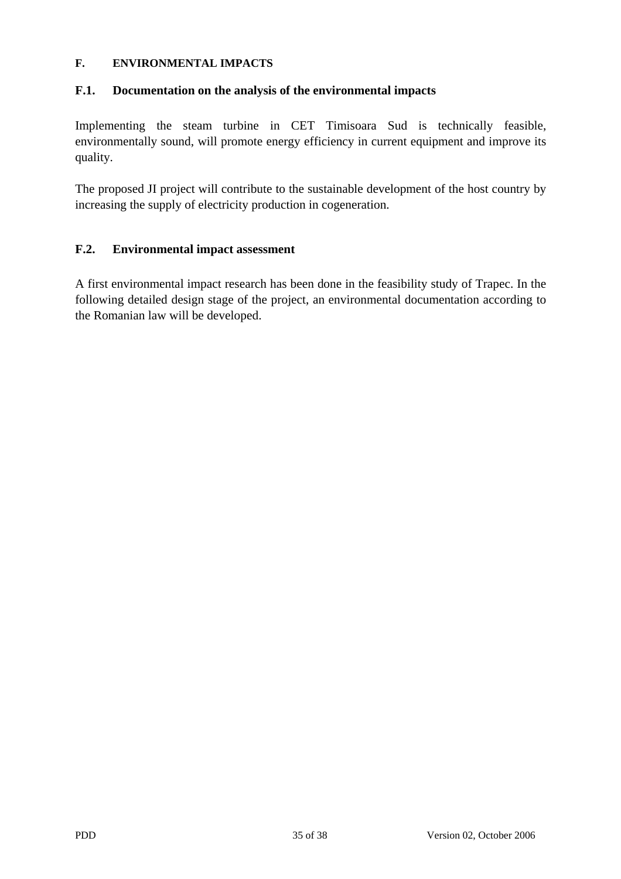#### **F. ENVIRONMENTAL IMPACTS**

## **F.1. Documentation on the analysis of the environmental impacts**

Implementing the steam turbine in CET Timisoara Sud is technically feasible, environmentally sound, will promote energy efficiency in current equipment and improve its quality.

The proposed JI project will contribute to the sustainable development of the host country by increasing the supply of electricity production in cogeneration.

## **F.2. Environmental impact assessment**

A first environmental impact research has been done in the feasibility study of Trapec. In the following detailed design stage of the project, an environmental documentation according to the Romanian law will be developed.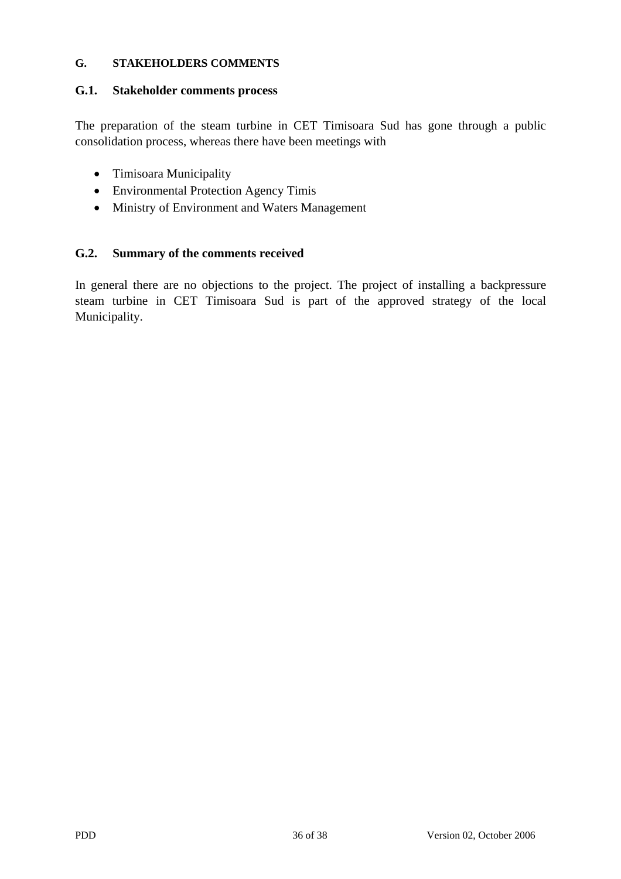#### **G. STAKEHOLDERS COMMENTS**

#### **G.1. Stakeholder comments process**

The preparation of the steam turbine in CET Timisoara Sud has gone through a public consolidation process, whereas there have been meetings with

- Timisoara Municipality
- Environmental Protection Agency Timis
- Ministry of Environment and Waters Management

## **G.2. Summary of the comments received**

In general there are no objections to the project. The project of installing a backpressure steam turbine in CET Timisoara Sud is part of the approved strategy of the local Municipality.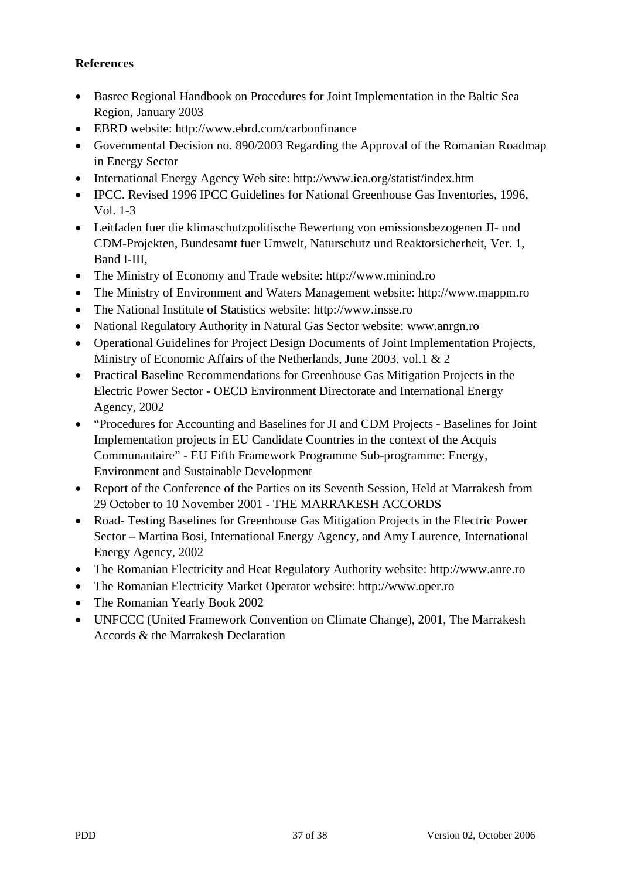## **References**

- Basrec Regional Handbook on Procedures for Joint Implementation in the Baltic Sea Region, January 2003
- EBRD website: http://www.ebrd.com/carbonfinance
- Governmental Decision no. 890/2003 Regarding the Approval of the Romanian Roadmap in Energy Sector
- International Energy Agency Web site: http://www.iea.org/statist/index.htm
- IPCC. Revised 1996 IPCC Guidelines for National Greenhouse Gas Inventories, 1996. Vol. 1-3
- Leitfaden fuer die klimaschutzpolitische Bewertung von emissionsbezogenen JI- und CDM-Projekten, Bundesamt fuer Umwelt, Naturschutz und Reaktorsicherheit, Ver. 1, Band I-III,
- The Ministry of Economy and Trade website: http://www.minind.ro
- The Ministry of Environment and Waters Management website: http://www.mappm.ro
- The National Institute of Statistics website: http://www.insse.ro
- National Regulatory Authority in Natural Gas Sector website: www.anrgn.ro
- Operational Guidelines for Project Design Documents of Joint Implementation Projects, Ministry of Economic Affairs of the Netherlands, June 2003, vol.1 & 2
- Practical Baseline Recommendations for Greenhouse Gas Mitigation Projects in the Electric Power Sector - OECD Environment Directorate and International Energy Agency, 2002
- "Procedures for Accounting and Baselines for JI and CDM Projects Baselines for Joint Implementation projects in EU Candidate Countries in the context of the Acquis Communautaire" - EU Fifth Framework Programme Sub-programme: Energy, Environment and Sustainable Development
- Report of the Conference of the Parties on its Seventh Session, Held at Marrakesh from 29 October to 10 November 2001 - THE MARRAKESH ACCORDS
- Road- Testing Baselines for Greenhouse Gas Mitigation Projects in the Electric Power Sector – Martina Bosi, International Energy Agency, and Amy Laurence, International Energy Agency, 2002
- The Romanian Electricity and Heat Regulatory Authority website: http://www.anre.ro
- The Romanian Electricity Market Operator website: http://www.oper.ro
- The Romanian Yearly Book 2002
- UNFCCC (United Framework Convention on Climate Change), 2001, The Marrakesh Accords & the Marrakesh Declaration